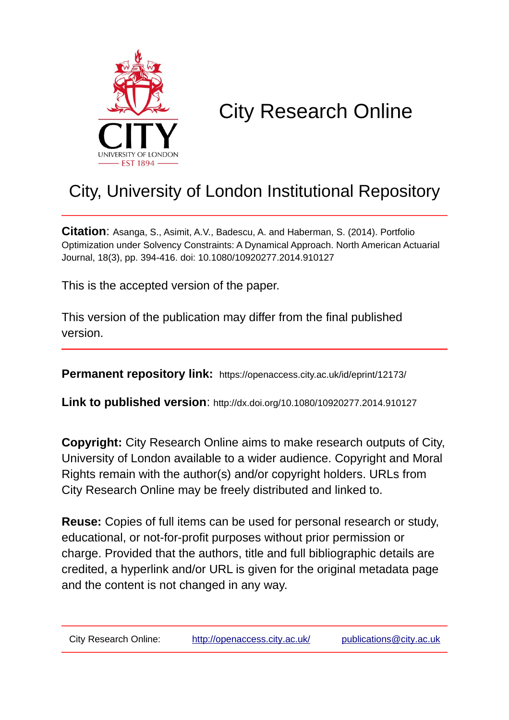

## City Research Online

## City, University of London Institutional Repository

**Citation**: Asanga, S., Asimit, A.V., Badescu, A. and Haberman, S. (2014). Portfolio Optimization under Solvency Constraints: A Dynamical Approach. North American Actuarial Journal, 18(3), pp. 394-416. doi: 10.1080/10920277.2014.910127

This is the accepted version of the paper.

This version of the publication may differ from the final published version.

**Permanent repository link:** https://openaccess.city.ac.uk/id/eprint/12173/

**Link to published version**: http://dx.doi.org/10.1080/10920277.2014.910127

**Copyright:** City Research Online aims to make research outputs of City, University of London available to a wider audience. Copyright and Moral Rights remain with the author(s) and/or copyright holders. URLs from City Research Online may be freely distributed and linked to.

**Reuse:** Copies of full items can be used for personal research or study, educational, or not-for-profit purposes without prior permission or charge. Provided that the authors, title and full bibliographic details are credited, a hyperlink and/or URL is given for the original metadata page and the content is not changed in any way.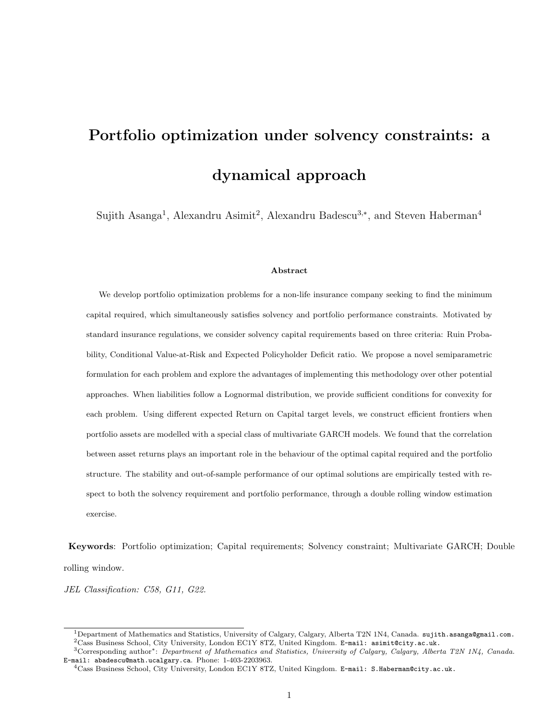# Portfolio optimization under solvency constraints: a dynamical approach

Sujith Asanga<sup>1</sup>, Alexandru Asimit<sup>2</sup>, Alexandru Badescu<sup>3,\*</sup>, and Steven Haberman<sup>4</sup>

#### Abstract

We develop portfolio optimization problems for a non-life insurance company seeking to find the minimum capital required, which simultaneously satisfies solvency and portfolio performance constraints. Motivated by standard insurance regulations, we consider solvency capital requirements based on three criteria: Ruin Probability, Conditional Value-at-Risk and Expected Policyholder Deficit ratio. We propose a novel semiparametric formulation for each problem and explore the advantages of implementing this methodology over other potential approaches. When liabilities follow a Lognormal distribution, we provide sufficient conditions for convexity for each problem. Using different expected Return on Capital target levels, we construct efficient frontiers when portfolio assets are modelled with a special class of multivariate GARCH models. We found that the correlation between asset returns plays an important role in the behaviour of the optimal capital required and the portfolio structure. The stability and out-of-sample performance of our optimal solutions are empirically tested with respect to both the solvency requirement and portfolio performance, through a double rolling window estimation exercise.

Keywords: Portfolio optimization; Capital requirements; Solvency constraint; Multivariate GARCH; Double rolling window.

JEL Classification: C58, G11, G22.

<sup>&</sup>lt;sup>1</sup>Department of Mathematics and Statistics, University of Calgary, Calgary, Alberta T2N 1N4, Canada. sujith.asanga@gmail.com.  $^{2}$ Cass Business School, City University, London EC1Y 8TZ, United Kingdom. E-mail: asimit@city.ac.uk.

<sup>3</sup>Corresponding author∗: Department of Mathematics and Statistics, University of Calgary, Calgary, Alberta T2N 1N4, Canada. E-mail: abadescu@math.ucalgary.ca. Phone: 1-403-2203963.

 $^{4}$ Cass Business School, City University, London EC1Y 8TZ, United Kingdom. E-mail: S.Haberman@city.ac.uk.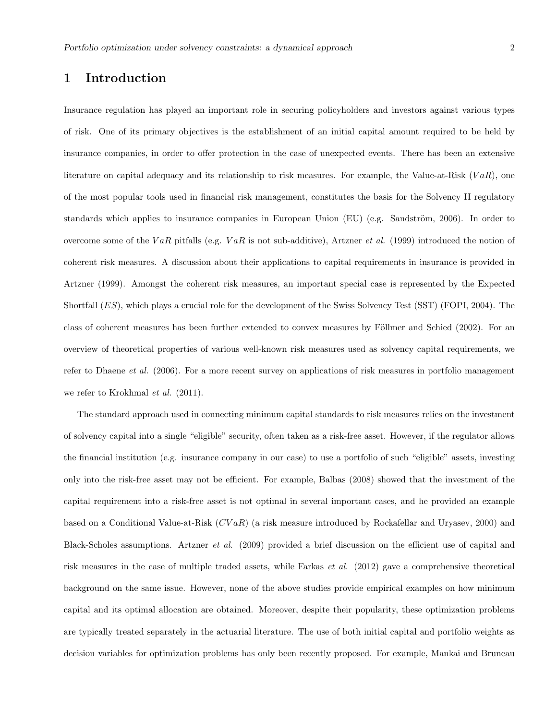## 1 Introduction

Insurance regulation has played an important role in securing policyholders and investors against various types of risk. One of its primary objectives is the establishment of an initial capital amount required to be held by insurance companies, in order to offer protection in the case of unexpected events. There has been an extensive literature on capital adequacy and its relationship to risk measures. For example, the Value-at-Risk  $(VaR)$ , one of the most popular tools used in financial risk management, constitutes the basis for the Solvency II regulatory standards which applies to insurance companies in European Union (EU) (e.g. Sandström, 2006). In order to overcome some of the VaR pitfalls (e.g. VaR is not sub-additive), Artzner et al. (1999) introduced the notion of coherent risk measures. A discussion about their applications to capital requirements in insurance is provided in Artzner (1999). Amongst the coherent risk measures, an important special case is represented by the Expected Shortfall (ES), which plays a crucial role for the development of the Swiss Solvency Test (SST) (FOPI, 2004). The class of coherent measures has been further extended to convex measures by Föllmer and Schied (2002). For an overview of theoretical properties of various well-known risk measures used as solvency capital requirements, we refer to Dhaene et al. (2006). For a more recent survey on applications of risk measures in portfolio management we refer to Krokhmal *et al.* (2011).

The standard approach used in connecting minimum capital standards to risk measures relies on the investment of solvency capital into a single "eligible" security, often taken as a risk-free asset. However, if the regulator allows the financial institution (e.g. insurance company in our case) to use a portfolio of such "eligible" assets, investing only into the risk-free asset may not be efficient. For example, Balbas (2008) showed that the investment of the capital requirement into a risk-free asset is not optimal in several important cases, and he provided an example based on a Conditional Value-at-Risk  $(CVaR)$  (a risk measure introduced by Rockafellar and Uryasev, 2000) and Black-Scholes assumptions. Artzner et al. (2009) provided a brief discussion on the efficient use of capital and risk measures in the case of multiple traded assets, while Farkas et al. (2012) gave a comprehensive theoretical background on the same issue. However, none of the above studies provide empirical examples on how minimum capital and its optimal allocation are obtained. Moreover, despite their popularity, these optimization problems are typically treated separately in the actuarial literature. The use of both initial capital and portfolio weights as decision variables for optimization problems has only been recently proposed. For example, Mankai and Bruneau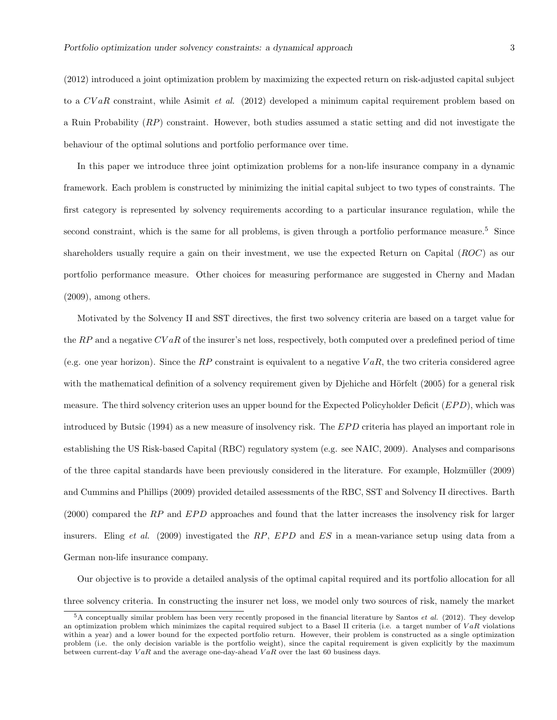(2012) introduced a joint optimization problem by maximizing the expected return on risk-adjusted capital subject to a CVaR constraint, while Asimit et al. (2012) developed a minimum capital requirement problem based on a Ruin Probability (RP) constraint. However, both studies assumed a static setting and did not investigate the behaviour of the optimal solutions and portfolio performance over time.

In this paper we introduce three joint optimization problems for a non-life insurance company in a dynamic framework. Each problem is constructed by minimizing the initial capital subject to two types of constraints. The first category is represented by solvency requirements according to a particular insurance regulation, while the second constraint, which is the same for all problems, is given through a portfolio performance measure.<sup>5</sup> Since shareholders usually require a gain on their investment, we use the expected Return on Capital (ROC) as our portfolio performance measure. Other choices for measuring performance are suggested in Cherny and Madan (2009), among others.

Motivated by the Solvency II and SST directives, the first two solvency criteria are based on a target value for the  $RP$  and a negative  $CVaR$  of the insurer's net loss, respectively, both computed over a predefined period of time (e.g. one year horizon). Since the RP constraint is equivalent to a negative  $VaR$ , the two criteria considered agree with the mathematical definition of a solvency requirement given by Djehiche and Hörfelt  $(2005)$  for a general risk measure. The third solvency criterion uses an upper bound for the Expected Policyholder Deficit ( $EPD$ ), which was introduced by Butsic (1994) as a new measure of insolvency risk. The EPD criteria has played an important role in establishing the US Risk-based Capital (RBC) regulatory system (e.g. see NAIC, 2009). Analyses and comparisons of the three capital standards have been previously considered in the literature. For example, Holzmüller (2009) and Cummins and Phillips (2009) provided detailed assessments of the RBC, SST and Solvency II directives. Barth  $(2000)$  compared the RP and EPD approaches and found that the latter increases the insolvency risk for larger insurers. Eling et al. (2009) investigated the RP, EPD and ES in a mean-variance setup using data from a German non-life insurance company.

Our objective is to provide a detailed analysis of the optimal capital required and its portfolio allocation for all three solvency criteria. In constructing the insurer net loss, we model only two sources of risk, namely the market

<sup>5</sup>A conceptually similar problem has been very recently proposed in the financial literature by Santos et al. (2012). They develop an optimization problem which minimizes the capital required subject to a Basel II criteria (i.e. a target number of  $VaR$  violations within a year) and a lower bound for the expected portfolio return. However, their problem is constructed as a single optimization problem (i.e. the only decision variable is the portfolio weight), since the capital requirement is given explicitly by the maximum between current-day  $VaR$  and the average one-day-ahead  $VaR$  over the last 60 business days.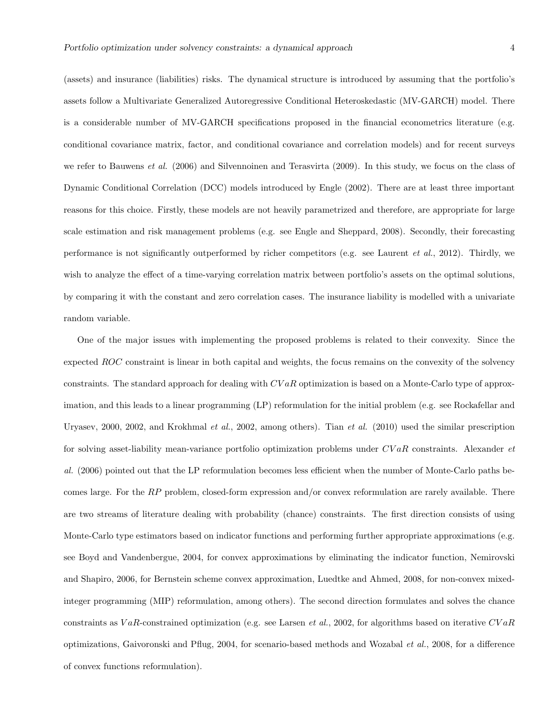(assets) and insurance (liabilities) risks. The dynamical structure is introduced by assuming that the portfolio's assets follow a Multivariate Generalized Autoregressive Conditional Heteroskedastic (MV-GARCH) model. There is a considerable number of MV-GARCH specifications proposed in the financial econometrics literature (e.g. conditional covariance matrix, factor, and conditional covariance and correlation models) and for recent surveys we refer to Bauwens et al. (2006) and Silvennoinen and Terasvirta (2009). In this study, we focus on the class of Dynamic Conditional Correlation (DCC) models introduced by Engle (2002). There are at least three important reasons for this choice. Firstly, these models are not heavily parametrized and therefore, are appropriate for large scale estimation and risk management problems (e.g. see Engle and Sheppard, 2008). Secondly, their forecasting performance is not significantly outperformed by richer competitors (e.g. see Laurent et al., 2012). Thirdly, we wish to analyze the effect of a time-varying correlation matrix between portfolio's assets on the optimal solutions, by comparing it with the constant and zero correlation cases. The insurance liability is modelled with a univariate random variable.

One of the major issues with implementing the proposed problems is related to their convexity. Since the expected ROC constraint is linear in both capital and weights, the focus remains on the convexity of the solvency constraints. The standard approach for dealing with  $CVaR$  optimization is based on a Monte-Carlo type of approximation, and this leads to a linear programming (LP) reformulation for the initial problem (e.g. see Rockafellar and Uryasev, 2000, 2002, and Krokhmal *et al.*, 2002, among others). Tian *et al.* (2010) used the similar prescription for solving asset-liability mean-variance portfolio optimization problems under  $CVaR$  constraints. Alexander  $et$ al. (2006) pointed out that the LP reformulation becomes less efficient when the number of Monte-Carlo paths becomes large. For the RP problem, closed-form expression and/or convex reformulation are rarely available. There are two streams of literature dealing with probability (chance) constraints. The first direction consists of using Monte-Carlo type estimators based on indicator functions and performing further appropriate approximations (e.g. see Boyd and Vandenbergue, 2004, for convex approximations by eliminating the indicator function, Nemirovski and Shapiro, 2006, for Bernstein scheme convex approximation, Luedtke and Ahmed, 2008, for non-convex mixedinteger programming (MIP) reformulation, among others). The second direction formulates and solves the chance constraints as VaR-constrained optimization (e.g. see Larsen *et al.*, 2002, for algorithms based on iterative  $CVaR$ optimizations, Gaivoronski and Pflug, 2004, for scenario-based methods and Wozabal et al., 2008, for a difference of convex functions reformulation).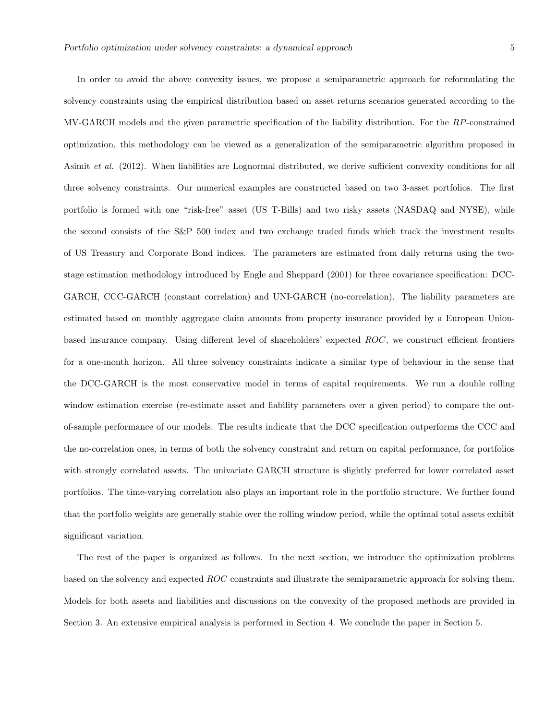In order to avoid the above convexity issues, we propose a semiparametric approach for reformulating the solvency constraints using the empirical distribution based on asset returns scenarios generated according to the MV-GARCH models and the given parametric specification of the liability distribution. For the RP-constrained optimization, this methodology can be viewed as a generalization of the semiparametric algorithm proposed in Asimit et al. (2012). When liabilities are Lognormal distributed, we derive sufficient convexity conditions for all three solvency constraints. Our numerical examples are constructed based on two 3-asset portfolios. The first portfolio is formed with one "risk-free" asset (US T-Bills) and two risky assets (NASDAQ and NYSE), while the second consists of the S&P 500 index and two exchange traded funds which track the investment results of US Treasury and Corporate Bond indices. The parameters are estimated from daily returns using the twostage estimation methodology introduced by Engle and Sheppard (2001) for three covariance specification: DCC-GARCH, CCC-GARCH (constant correlation) and UNI-GARCH (no-correlation). The liability parameters are estimated based on monthly aggregate claim amounts from property insurance provided by a European Unionbased insurance company. Using different level of shareholders' expected ROC, we construct efficient frontiers for a one-month horizon. All three solvency constraints indicate a similar type of behaviour in the sense that the DCC-GARCH is the most conservative model in terms of capital requirements. We run a double rolling window estimation exercise (re-estimate asset and liability parameters over a given period) to compare the outof-sample performance of our models. The results indicate that the DCC specification outperforms the CCC and the no-correlation ones, in terms of both the solvency constraint and return on capital performance, for portfolios with strongly correlated assets. The univariate GARCH structure is slightly preferred for lower correlated asset portfolios. The time-varying correlation also plays an important role in the portfolio structure. We further found that the portfolio weights are generally stable over the rolling window period, while the optimal total assets exhibit significant variation.

The rest of the paper is organized as follows. In the next section, we introduce the optimization problems based on the solvency and expected ROC constraints and illustrate the semiparametric approach for solving them. Models for both assets and liabilities and discussions on the convexity of the proposed methods are provided in Section 3. An extensive empirical analysis is performed in Section 4. We conclude the paper in Section 5.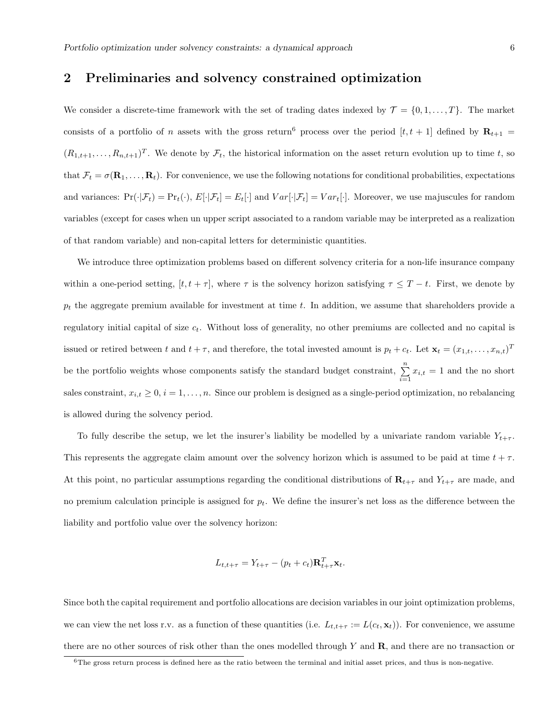### 2 Preliminaries and solvency constrained optimization

We consider a discrete-time framework with the set of trading dates indexed by  $\mathcal{T} = \{0, 1, \ldots, T\}$ . The market consists of a portfolio of n assets with the gross return<sup>6</sup> process over the period  $[t, t + 1]$  defined by  $\mathbf{R}_{t+1}$  $(R_{1,t+1},\ldots,R_{n,t+1})^T$ . We denote by  $\mathcal{F}_t$ , the historical information on the asset return evolution up to time t, so that  $\mathcal{F}_t = \sigma(\mathbf{R}_1, \dots, \mathbf{R}_t)$ . For convenience, we use the following notations for conditional probabilities, expectations and variances:  $Pr(\cdot|\mathcal{F}_t) = Pr_t(\cdot), E[\cdot|\mathcal{F}_t] = E_t[\cdot]$  and  $Var[\cdot|\mathcal{F}_t] = Var_t[\cdot]$ . Moreover, we use majuscules for random variables (except for cases when un upper script associated to a random variable may be interpreted as a realization of that random variable) and non-capital letters for deterministic quantities.

We introduce three optimization problems based on different solvency criteria for a non-life insurance company within a one-period setting,  $[t, t + \tau]$ , where  $\tau$  is the solvency horizon satisfying  $\tau \leq T - t$ . First, we denote by  $p_t$  the aggregate premium available for investment at time  $t$ . In addition, we assume that shareholders provide a regulatory initial capital of size  $c_t$ . Without loss of generality, no other premiums are collected and no capital is issued or retired between t and  $t + \tau$ , and therefore, the total invested amount is  $p_t + c_t$ . Let  $\mathbf{x}_t = (x_{1,t}, \ldots, x_{n,t})^T$ be the portfolio weights whose components satisfy the standard budget constraint,  $\sum_{i=1}^{n} x_{i,t} = 1$  and the no short sales constraint,  $x_{i,t} \geq 0$ ,  $i = 1, \ldots, n$ . Since our problem is designed as a single-period optimization, no rebalancing is allowed during the solvency period.

To fully describe the setup, we let the insurer's liability be modelled by a univariate random variable  $Y_{t+\tau}$ . This represents the aggregate claim amount over the solvency horizon which is assumed to be paid at time  $t + \tau$ . At this point, no particular assumptions regarding the conditional distributions of  $\mathbf{R}_{t+\tau}$  and  $Y_{t+\tau}$  are made, and no premium calculation principle is assigned for  $p_t$ . We define the insurer's net loss as the difference between the liability and portfolio value over the solvency horizon:

$$
L_{t,t+\tau} = Y_{t+\tau} - (p_t + c_t) \mathbf{R}_{t+\tau}^T \mathbf{x}_t.
$$

Since both the capital requirement and portfolio allocations are decision variables in our joint optimization problems, we can view the net loss r.v. as a function of these quantities (i.e.  $L_{t,t+\tau} := L(c_t, \mathbf{x}_t)$ ). For convenience, we assume there are no other sources of risk other than the ones modelled through Y and R, and there are no transaction or

 $6$ The gross return process is defined here as the ratio between the terminal and initial asset prices, and thus is non-negative.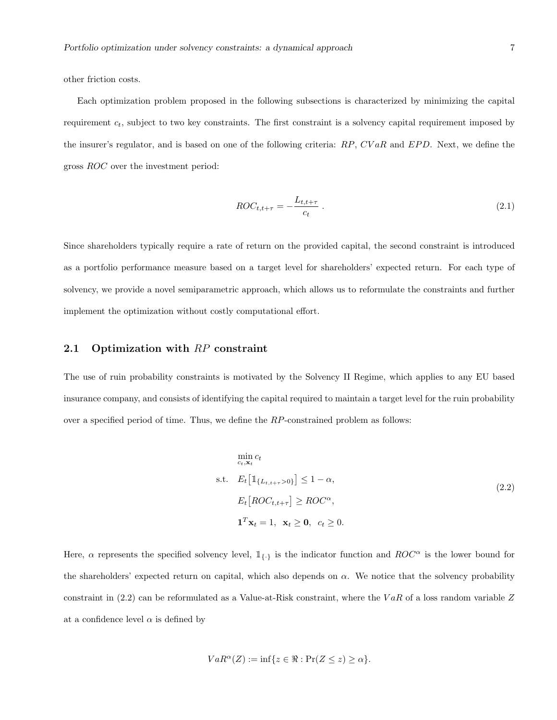other friction costs.

Each optimization problem proposed in the following subsections is characterized by minimizing the capital requirement  $c_t$ , subject to two key constraints. The first constraint is a solvency capital requirement imposed by the insurer's regulator, and is based on one of the following criteria:  $RP$ ,  $CVaR$  and  $EPD$ . Next, we define the gross ROC over the investment period:

$$
ROC_{t,t+\tau} = -\frac{L_{t,t+\tau}}{c_t} \tag{2.1}
$$

Since shareholders typically require a rate of return on the provided capital, the second constraint is introduced as a portfolio performance measure based on a target level for shareholders' expected return. For each type of solvency, we provide a novel semiparametric approach, which allows us to reformulate the constraints and further implement the optimization without costly computational effort.

#### 2.1 Optimization with RP constraint

The use of ruin probability constraints is motivated by the Solvency II Regime, which applies to any EU based insurance company, and consists of identifying the capital required to maintain a target level for the ruin probability over a specified period of time. Thus, we define the RP-constrained problem as follows:

$$
\min_{c_t, \mathbf{x}_t} c_t
$$
\ns.t.  $E_t \left[ \mathbb{1}_{\{L_{t,t+\tau} > 0\}} \right] \le 1 - \alpha,$   
\n $E_t \left[ ROC_{t,t+\tau} \right] \ge ROC^{\alpha},$   
\n $\mathbf{1}^T \mathbf{x}_t = 1, \mathbf{x}_t \ge \mathbf{0}, \ c_t \ge 0.$ \n(2.2)

Here,  $\alpha$  represents the specified solvency level,  $\mathbb{1}_{\{.\}}$  is the indicator function and  $ROC^{\alpha}$  is the lower bound for the shareholders' expected return on capital, which also depends on  $\alpha$ . We notice that the solvency probability constraint in  $(2.2)$  can be reformulated as a Value-at-Risk constraint, where the VaR of a loss random variable Z at a confidence level  $\alpha$  is defined by

$$
VaR^{\alpha}(Z) := \inf\{z \in \Re : \Pr(Z \le z) \ge \alpha\}.
$$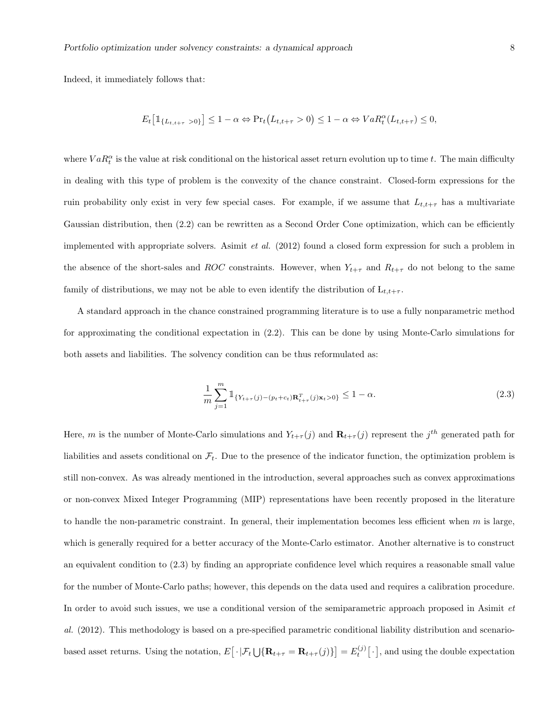Indeed, it immediately follows that:

$$
E_t\big[\mathbb{1}_{\{L_{t,t+\tau}>0\}}\big] \leq 1-\alpha \Leftrightarrow \Pr_t\big(L_{t,t+\tau}>0\big) \leq 1-\alpha \Leftrightarrow VaR_t^{\alpha}(L_{t,t+\tau}) \leq 0,
$$

where  $VaR_t^{\alpha}$  is the value at risk conditional on the historical asset return evolution up to time t. The main difficulty in dealing with this type of problem is the convexity of the chance constraint. Closed-form expressions for the ruin probability only exist in very few special cases. For example, if we assume that  $L_{t,t+\tau}$  has a multivariate Gaussian distribution, then  $(2.2)$  can be rewritten as a Second Order Cone optimization, which can be efficiently implemented with appropriate solvers. Asimit *et al.* (2012) found a closed form expression for such a problem in the absence of the short-sales and ROC constraints. However, when  $Y_{t+\tau}$  and  $R_{t+\tau}$  do not belong to the same family of distributions, we may not be able to even identify the distribution of  $L_{t,t+\tau}$ .

A standard approach in the chance constrained programming literature is to use a fully nonparametric method for approximating the conditional expectation in (2.2). This can be done by using Monte-Carlo simulations for both assets and liabilities. The solvency condition can be thus reformulated as:

$$
\frac{1}{m} \sum_{j=1}^{m} \mathbb{1}_{\{Y_{t+\tau}(j) - (p_t + c_t)\mathbf{R}_{t+\tau}^T(j)\mathbf{x}_t > 0\}} \le 1 - \alpha.
$$
\n(2.3)

Here, m is the number of Monte-Carlo simulations and  $Y_{t+\tau}(j)$  and  $\mathbf{R}_{t+\tau}(j)$  represent the  $j^{th}$  generated path for liabilities and assets conditional on  $\mathcal{F}_t$ . Due to the presence of the indicator function, the optimization problem is still non-convex. As was already mentioned in the introduction, several approaches such as convex approximations or non-convex Mixed Integer Programming (MIP) representations have been recently proposed in the literature to handle the non-parametric constraint. In general, their implementation becomes less efficient when  $m$  is large, which is generally required for a better accuracy of the Monte-Carlo estimator. Another alternative is to construct an equivalent condition to (2.3) by finding an appropriate confidence level which requires a reasonable small value for the number of Monte-Carlo paths; however, this depends on the data used and requires a calibration procedure. In order to avoid such issues, we use a conditional version of the semiparametric approach proposed in Asimit et al. (2012). This methodology is based on a pre-specified parametric conditional liability distribution and scenariobased asset returns. Using the notation,  $E[\cdot | \mathcal{F}_t \bigcup {\mathbf{R}_{t+\tau} = \mathbf{R}_{t+\tau}(j)}] = E_t^{(j)}[\cdot]$ , and using the double expectation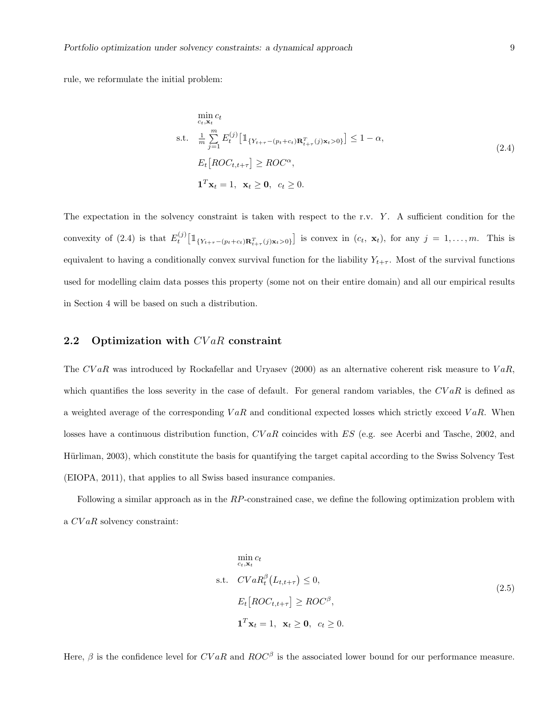rule, we reformulate the initial problem:

$$
\min_{c_t, \mathbf{x}_t} c_t
$$
\n
$$
\text{s.t.} \quad \frac{1}{m} \sum_{j=1}^m E_t^{(j)} \left[ \mathbb{1}_{\{Y_{t+\tau} - (p_t + c_t)\mathbf{R}_{t+\tau}^T(j)\mathbf{x}_t > 0\}} \right] \le 1 - \alpha,
$$
\n
$$
E_t \left[ ROC_{t, t+\tau} \right] \ge ROC^{\alpha},
$$
\n
$$
\mathbf{1}^T \mathbf{x}_t = 1, \quad \mathbf{x}_t \ge \mathbf{0}, \quad c_t \ge 0.
$$
\n
$$
(2.4)
$$

The expectation in the solvency constraint is taken with respect to the r.v. Y. A sufficient condition for the convexity of (2.4) is that  $E_t^{(j)}\left[\mathbb{1}_{\{Y_{t+\tau}-(p_t+c_t)\mathbf{R}_{t+\tau}^T(j)\mathbf{x}_t>0\}}\right]$  is convex in  $(c_t, \mathbf{x}_t)$ , for any  $j=1,\ldots,m$ . This is equivalent to having a conditionally convex survival function for the liability  $Y_{t+\tau}$ . Most of the survival functions used for modelling claim data posses this property (some not on their entire domain) and all our empirical results in Section 4 will be based on such a distribution.

#### 2.2 Optimization with  $CVaR$  constraint

The CVaR was introduced by Rockafellar and Uryasev (2000) as an alternative coherent risk measure to VaR, which quantifies the loss severity in the case of default. For general random variables, the  $CVaR$  is defined as a weighted average of the corresponding  $VaR$  and conditional expected losses which strictly exceed  $VaR$ . When losses have a continuous distribution function,  $CVaR$  coincides with ES (e.g. see Acerbi and Tasche, 2002, and Hürliman, 2003), which constitute the basis for quantifying the target capital according to the Swiss Solvency Test (EIOPA, 2011), that applies to all Swiss based insurance companies.

Following a similar approach as in the RP-constrained case, we define the following optimization problem with a CV aR solvency constraint:

$$
\min_{c_t, \mathbf{x}_t} c_t
$$
\ns.t.  $CVaR_t^{\beta}(L_{t, t+\tau}) \le 0$ ,  
\n
$$
E_t[ROC_{t, t+\tau}] \ge ROC^{\beta},
$$
\n
$$
\mathbf{1}^T \mathbf{x}_t = 1, \ \mathbf{x}_t \ge \mathbf{0}, \ c_t \ge 0.
$$
\n(2.5)

Here,  $\beta$  is the confidence level for  $CVaR$  and  $ROC^{\beta}$  is the associated lower bound for our performance measure.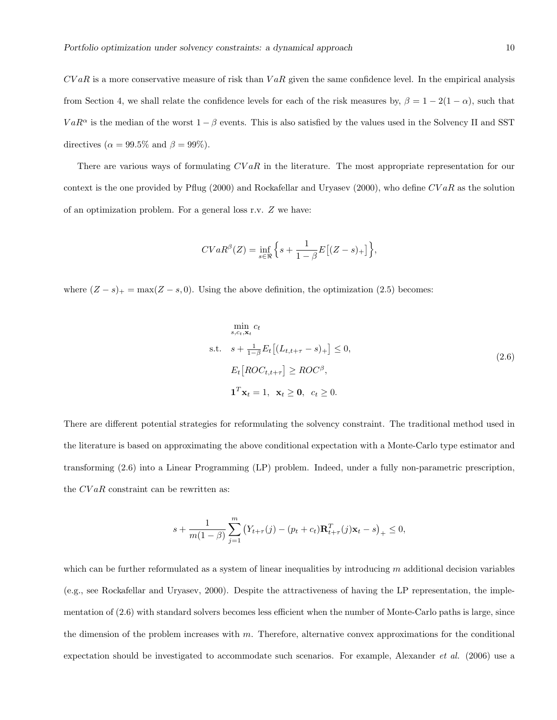$CVaR$  is a more conservative measure of risk than  $VaR$  given the same confidence level. In the empirical analysis from Section 4, we shall relate the confidence levels for each of the risk measures by,  $\beta = 1 - 2(1 - \alpha)$ , such that  $VaR<sup>\alpha</sup>$  is the median of the worst  $1 - \beta$  events. This is also satisfied by the values used in the Solvency II and SST directives ( $\alpha = 99.5\%$  and  $\beta = 99\%$ ).

There are various ways of formulating  $CVaR$  in the literature. The most appropriate representation for our context is the one provided by Pflug (2000) and Rockafellar and Uryasev (2000), who define  $CVaR$  as the solution of an optimization problem. For a general loss r.v. Z we have:

$$
CVaR^{\beta}(Z) = \inf_{s \in \Re} \left\{ s + \frac{1}{1 - \beta} E\big[ (Z - s)_+ \big] \right\},\,
$$

where  $(Z - s)_+ = \max(Z - s, 0)$ . Using the above definition, the optimization (2.5) becomes:

$$
\min_{s,c_t,\mathbf{x}_t} c_t
$$
\n
$$
\text{s.t.} \quad s + \frac{1}{1-\beta} E_t \left[ (L_{t,t+\tau} - s)_+ \right] \leq 0,
$$
\n
$$
E_t \left[ ROC_{t,t+\tau} \right] \geq ROC^{\beta},
$$
\n
$$
\mathbf{1}^T \mathbf{x}_t = 1, \ \mathbf{x}_t \geq \mathbf{0}, \ c_t \geq 0.
$$
\n
$$
(2.6)
$$

There are different potential strategies for reformulating the solvency constraint. The traditional method used in the literature is based on approximating the above conditional expectation with a Monte-Carlo type estimator and transforming (2.6) into a Linear Programming (LP) problem. Indeed, under a fully non-parametric prescription, the  $CVaR$  constraint can be rewritten as:

$$
s + \frac{1}{m(1-\beta)} \sum_{j=1}^{m} (Y_{t+\tau}(j) - (p_t + c_t) \mathbf{R}_{t+\tau}^T(j) \mathbf{x}_t - s)_+ \le 0,
$$

which can be further reformulated as a system of linear inequalities by introducing  $m$  additional decision variables (e.g., see Rockafellar and Uryasev, 2000). Despite the attractiveness of having the LP representation, the implementation of (2.6) with standard solvers becomes less efficient when the number of Monte-Carlo paths is large, since the dimension of the problem increases with  $m$ . Therefore, alternative convex approximations for the conditional expectation should be investigated to accommodate such scenarios. For example, Alexander et al. (2006) use a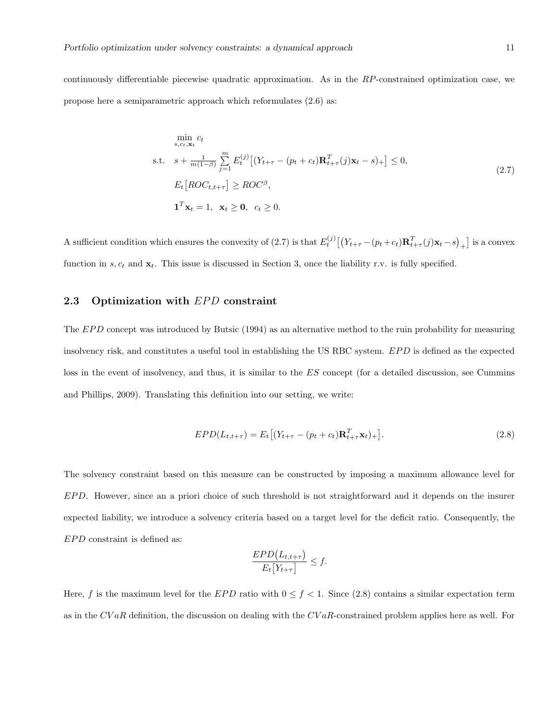continuously differentiable piecewise quadratic approximation. As in the RP-constrained optimization case, we propose here a semiparametric approach which reformulates (2.6) as:

$$
\min_{s,c_t,\mathbf{x}_t} c_t
$$
\n
$$
\text{s.t.} \quad s + \frac{1}{m(1-\beta)} \sum_{j=1}^m E_t^{(j)} \left[ (Y_{t+\tau} - (p_t + c_t) \mathbf{R}_{t+\tau}^T(j) \mathbf{x}_t - s)_+ \right] \le 0,
$$
\n
$$
E_t \left[ ROC_{t,t+\tau} \right] \ge ROC^{\beta},
$$
\n
$$
\mathbf{1}^T \mathbf{x}_t = 1, \ \mathbf{x}_t \ge \mathbf{0}, \ c_t \ge 0.
$$
\n
$$
(2.7)
$$

A sufficient condition which ensures the convexity of (2.7) is that  $E_t^{(j)}[(Y_{t+\tau} - (p_t + c_t)\mathbf{R}_{t+\tau}^T(j)\mathbf{x}_t - s)_+]$  is a convex function in  $s, c_t$  and  $\mathbf{x}_t$ . This issue is discussed in Section 3, once the liability r.v. is fully specified.

### 2.3 Optimization with  $EPD$  constraint

The  $EPD$  concept was introduced by Butsic (1994) as an alternative method to the ruin probability for measuring insolvency risk, and constitutes a useful tool in establishing the US RBC system. EPD is defined as the expected loss in the event of insolvency, and thus, it is similar to the ES concept (for a detailed discussion, see Cummins and Phillips, 2009). Translating this definition into our setting, we write:

$$
EPD(L_{t,t+\tau}) = E_t[(Y_{t+\tau} - (p_t + c_t)\mathbf{R}_{t+\tau}^T \mathbf{x}_t)_+].
$$
\n(2.8)

The solvency constraint based on this measure can be constructed by imposing a maximum allowance level for EPD. However, since an a priori choice of such threshold is not straightforward and it depends on the insurer expected liability, we introduce a solvency criteria based on a target level for the deficit ratio. Consequently, the  $EPD$  constraint is defined as:

$$
\frac{EPD(L_{t,t+\tau})}{E_t[Y_{t+\tau}]} \leq f.
$$

Here, f is the maximum level for the EPD ratio with  $0 \le f < 1$ . Since (2.8) contains a similar expectation term as in the  $CVaR$  definition, the discussion on dealing with the  $CVaR$ -constrained problem applies here as well. For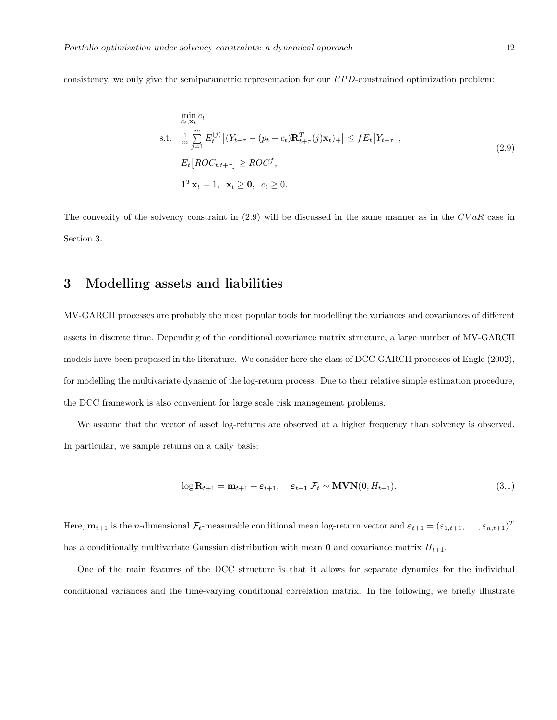consistency, we only give the semiparametric representation for our EPD-constrained optimization problem:

$$
\min_{c_t, \mathbf{x}_t} c_t
$$
\n
$$
\text{s.t.} \quad \frac{1}{m} \sum_{j=1}^m E_t^{(j)} \left[ (Y_{t+\tau} - (p_t + c_t) \mathbf{R}_{t+\tau}^T(j) \mathbf{x}_t)_+ \right] \le f E_t \left[ Y_{t+\tau} \right],
$$
\n
$$
E_t \left[ ROC_{t,t+\tau} \right] \ge ROC^f,
$$
\n
$$
\mathbf{1}^T \mathbf{x}_t = 1, \quad \mathbf{x}_t \ge \mathbf{0}, \quad c_t \ge 0.
$$
\n
$$
(2.9)
$$

The convexity of the solvency constraint in  $(2.9)$  will be discussed in the same manner as in the  $CVaR$  case in Section 3.

## 3 Modelling assets and liabilities

MV-GARCH processes are probably the most popular tools for modelling the variances and covariances of different assets in discrete time. Depending of the conditional covariance matrix structure, a large number of MV-GARCH models have been proposed in the literature. We consider here the class of DCC-GARCH processes of Engle (2002), for modelling the multivariate dynamic of the log-return process. Due to their relative simple estimation procedure, the DCC framework is also convenient for large scale risk management problems.

We assume that the vector of asset log-returns are observed at a higher frequency than solvency is observed. In particular, we sample returns on a daily basis:

$$
\log \mathbf{R}_{t+1} = \mathbf{m}_{t+1} + \varepsilon_{t+1}, \quad \varepsilon_{t+1} | \mathcal{F}_t \sim \text{MVN}(0, H_{t+1}). \tag{3.1}
$$

Here,  $\mathbf{m}_{t+1}$  is the *n*-dimensional  $\mathcal{F}_t$ -measurable conditional mean log-return vector and  $\boldsymbol{\varepsilon}_{t+1} = (\varepsilon_{1,t+1}, \ldots, \varepsilon_{n,t+1})^T$ has a conditionally multivariate Gaussian distribution with mean  $\mathbf 0$  and covariance matrix  $H_{t+1}$ .

One of the main features of the DCC structure is that it allows for separate dynamics for the individual conditional variances and the time-varying conditional correlation matrix. In the following, we briefly illustrate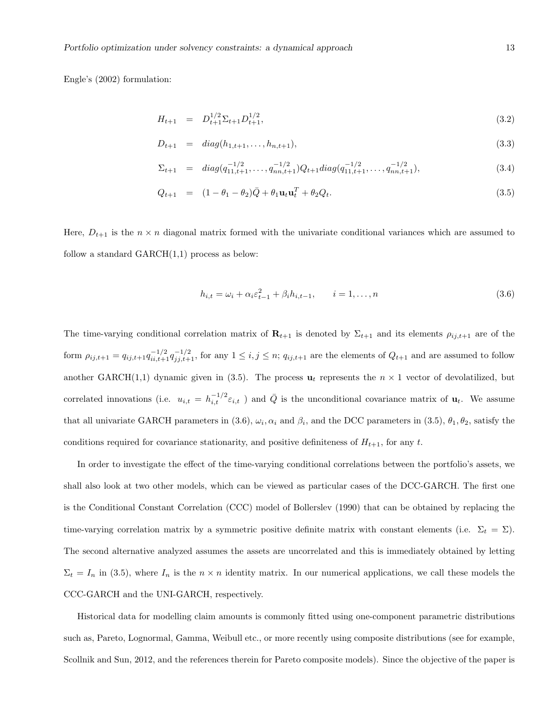Engle's (2002) formulation:

$$
H_{t+1} = D_{t+1}^{1/2} \Sigma_{t+1} D_{t+1}^{1/2}, \tag{3.2}
$$

$$
D_{t+1} = diag(h_{1,t+1}, \ldots, h_{n,t+1}), \qquad (3.3)
$$

$$
\Sigma_{t+1} = diag(q_{11,t+1}^{-1/2}, \dots, q_{nn,t+1}^{-1/2})Q_{t+1}diag(q_{11,t+1}^{-1/2}, \dots, q_{nn,t+1}^{-1/2}),
$$
\n(3.4)

$$
Q_{t+1} = (1 - \theta_1 - \theta_2)\bar{Q} + \theta_1 \mathbf{u}_t \mathbf{u}_t^T + \theta_2 Q_t.
$$
 (3.5)

Here,  $D_{t+1}$  is the  $n \times n$  diagonal matrix formed with the univariate conditional variances which are assumed to follow a standard  $GARCH(1,1)$  process as below:

$$
h_{i,t} = \omega_i + \alpha_i \varepsilon_{t-1}^2 + \beta_i h_{i,t-1}, \qquad i = 1, ..., n
$$
\n(3.6)

The time-varying conditional correlation matrix of  $\mathbf{R}_{t+1}$  is denoted by  $\Sigma_{t+1}$  and its elements  $\rho_{ij,t+1}$  are of the form  $\rho_{ij,t+1} = q_{ij,t+1} q_{ii,t+1}^{-1/2} q_{ij,t+1}^{-1/2}$ , for any  $1 \leq i, j \leq n$ ;  $q_{ij,t+1}$  are the elements of  $Q_{t+1}$  and are assumed to follow another GARCH(1,1) dynamic given in (3.5). The process  $\mathbf{u}_t$  represents the  $n \times 1$  vector of devolatilized, but correlated innovations (i.e.  $u_{i,t} = h_{i,t}^{-1/2} \varepsilon_{i,t}$ ) and  $\overline{Q}$  is the unconditional covariance matrix of  $\mathbf{u}_t$ . We assume that all univariate GARCH parameters in (3.6),  $\omega_i$ ,  $\alpha_i$  and  $\beta_i$ , and the DCC parameters in (3.5),  $\theta_1$ ,  $\theta_2$ , satisfy the conditions required for covariance stationarity, and positive definiteness of  $H_{t+1}$ , for any t.

In order to investigate the effect of the time-varying conditional correlations between the portfolio's assets, we shall also look at two other models, which can be viewed as particular cases of the DCC-GARCH. The first one is the Conditional Constant Correlation (CCC) model of Bollerslev (1990) that can be obtained by replacing the time-varying correlation matrix by a symmetric positive definite matrix with constant elements (i.e.  $\Sigma_t = \Sigma$ ). The second alternative analyzed assumes the assets are uncorrelated and this is immediately obtained by letting  $\Sigma_t = I_n$  in (3.5), where  $I_n$  is the  $n \times n$  identity matrix. In our numerical applications, we call these models the CCC-GARCH and the UNI-GARCH, respectively.

Historical data for modelling claim amounts is commonly fitted using one-component parametric distributions such as, Pareto, Lognormal, Gamma, Weibull etc., or more recently using composite distributions (see for example, Scollnik and Sun, 2012, and the references therein for Pareto composite models). Since the objective of the paper is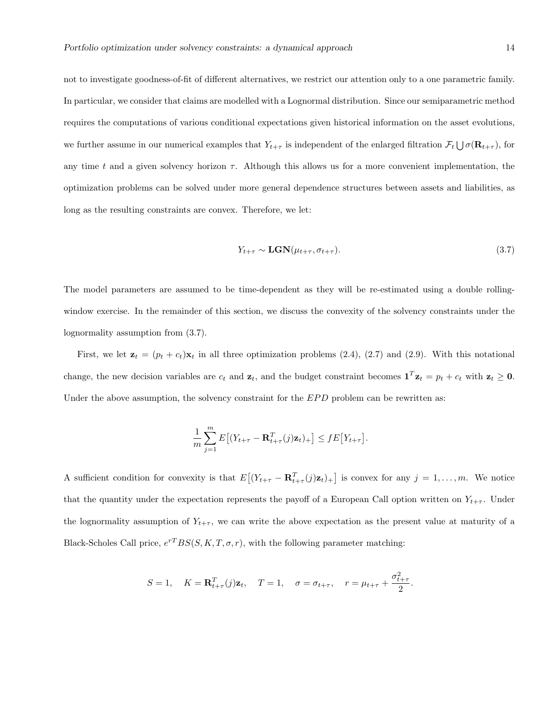not to investigate goodness-of-fit of different alternatives, we restrict our attention only to a one parametric family. In particular, we consider that claims are modelled with a Lognormal distribution. Since our semiparametric method requires the computations of various conditional expectations given historical information on the asset evolutions, we further assume in our numerical examples that  $Y_{t+\tau}$  is independent of the enlarged filtration  $\mathcal{F}_t \bigcup \sigma(\mathbf{R}_{t+\tau})$ , for any time t and a given solvency horizon  $\tau$ . Although this allows us for a more convenient implementation, the optimization problems can be solved under more general dependence structures between assets and liabilities, as long as the resulting constraints are convex. Therefore, we let:

$$
Y_{t+\tau} \sim \mathbf{LGN}(\mu_{t+\tau}, \sigma_{t+\tau}).\tag{3.7}
$$

The model parameters are assumed to be time-dependent as they will be re-estimated using a double rollingwindow exercise. In the remainder of this section, we discuss the convexity of the solvency constraints under the lognormality assumption from (3.7).

First, we let  $\mathbf{z}_t = (p_t + c_t)\mathbf{x}_t$  in all three optimization problems (2.4), (2.7) and (2.9). With this notational change, the new decision variables are  $c_t$  and  $z_t$ , and the budget constraint becomes  $\mathbf{1}^T \mathbf{z}_t = p_t + c_t$  with  $z_t \geq 0$ . Under the above assumption, the solvency constraint for the  $EPD$  problem can be rewritten as:

$$
\frac{1}{m}\sum_{j=1}^m E\big[(Y_{t+\tau}-\mathbf{R}_{t+\tau}^T(j)\mathbf{z}_t)_+\big] \leq f E\big[Y_{t+\tau}\big].
$$

A sufficient condition for convexity is that  $E[(Y_{t+\tau}-\mathbf{R}_{t+\tau}^T(j)\mathbf{z}_t)_+]$  is convex for any  $j=1,\ldots,m$ . We notice that the quantity under the expectation represents the payoff of a European Call option written on  $Y_{t+\tau}$ . Under the lognormality assumption of  $Y_{t+\tau}$ , we can write the above expectation as the present value at maturity of a Black-Scholes Call price,  $e^{rT}BS(S, K, T, \sigma, r)$ , with the following parameter matching:

$$
S = 1
$$
,  $K = \mathbf{R}_{t+\tau}^T(j)\mathbf{z}_t$ ,  $T = 1$ ,  $\sigma = \sigma_{t+\tau}$ ,  $r = \mu_{t+\tau} + \frac{\sigma_{t+\tau}^2}{2}$ .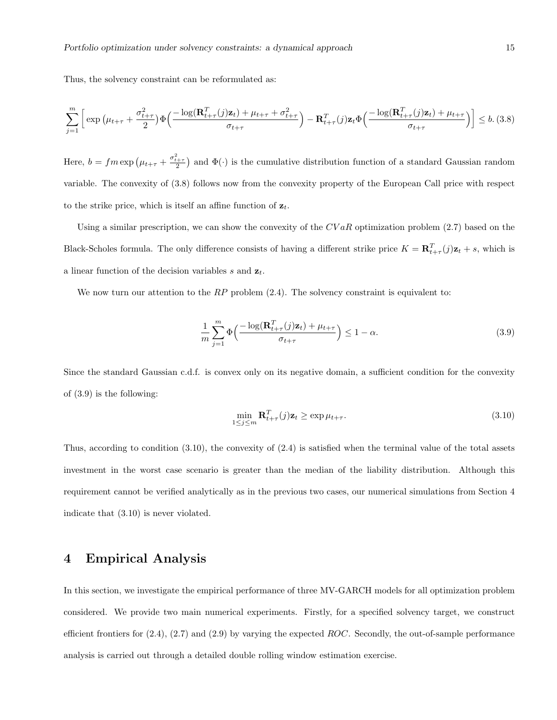Thus, the solvency constraint can be reformulated as:

$$
\sum_{j=1}^{m} \left[ \exp \left( \mu_{t+\tau} + \frac{\sigma_{t+\tau}^2}{2} \right) \Phi \left( \frac{-\log(\mathbf{R}_{t+\tau}^T(j)\mathbf{z}_t) + \mu_{t+\tau} + \sigma_{t+\tau}^2}{\sigma_{t+\tau}} \right) - \mathbf{R}_{t+\tau}^T(j)\mathbf{z}_t \Phi \left( \frac{-\log(\mathbf{R}_{t+\tau}^T(j)\mathbf{z}_t) + \mu_{t+\tau}}{\sigma_{t+\tau}} \right) \right] \le b. \tag{3.8}
$$

Here,  $b = fm \exp \left(\mu_{t+\tau} + \frac{\sigma_{t+\tau}^2}{2}\right)$  and  $\Phi(\cdot)$  is the cumulative distribution function of a standard Gaussian random variable. The convexity of (3.8) follows now from the convexity property of the European Call price with respect to the strike price, which is itself an affine function of  $z_t$ .

Using a similar prescription, we can show the convexity of the  $CVaR$  optimization problem (2.7) based on the Black-Scholes formula. The only difference consists of having a different strike price  $K = \mathbf{R}_{t+\tau}^T(j)\mathbf{z}_t + s$ , which is a linear function of the decision variables s and  $z_t$ .

We now turn our attention to the  $RP$  problem  $(2.4)$ . The solvency constraint is equivalent to:

$$
\frac{1}{m} \sum_{j=1}^{m} \Phi\left(\frac{-\log(\mathbf{R}_{t+\tau}^T(j)\mathbf{z}_t) + \mu_{t+\tau}}{\sigma_{t+\tau}}\right) \le 1 - \alpha.
$$
\n(3.9)

Since the standard Gaussian c.d.f. is convex only on its negative domain, a sufficient condition for the convexity of (3.9) is the following:

$$
\min_{1 \le j \le m} \mathbf{R}_{t+\tau}^T(j)\mathbf{z}_t \ge \exp \mu_{t+\tau}.\tag{3.10}
$$

Thus, according to condition (3.10), the convexity of (2.4) is satisfied when the terminal value of the total assets investment in the worst case scenario is greater than the median of the liability distribution. Although this requirement cannot be verified analytically as in the previous two cases, our numerical simulations from Section 4 indicate that (3.10) is never violated.

## 4 Empirical Analysis

In this section, we investigate the empirical performance of three MV-GARCH models for all optimization problem considered. We provide two main numerical experiments. Firstly, for a specified solvency target, we construct efficient frontiers for  $(2.4)$ ,  $(2.7)$  and  $(2.9)$  by varying the expected ROC. Secondly, the out-of-sample performance analysis is carried out through a detailed double rolling window estimation exercise.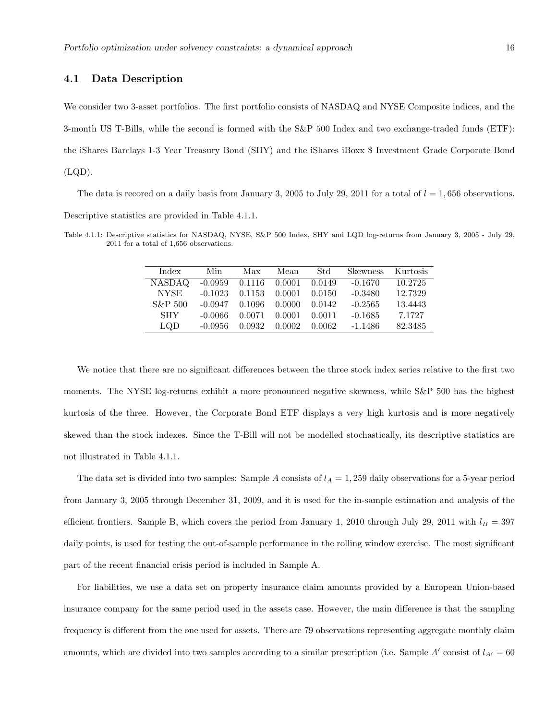#### 4.1 Data Description

We consider two 3-asset portfolios. The first portfolio consists of NASDAQ and NYSE Composite indices, and the 3-month US T-Bills, while the second is formed with the S&P 500 Index and two exchange-traded funds (ETF): the iShares Barclays 1-3 Year Treasury Bond (SHY) and the iShares iBoxx \$ Investment Grade Corporate Bond  $(LQD)$ .

The data is recored on a daily basis from January 3, 2005 to July 29, 2011 for a total of  $l = 1,656$  observations. Descriptive statistics are provided in Table 4.1.1.

Table 4.1.1: Descriptive statistics for NASDAQ, NYSE, S&P 500 Index, SHY and LQD log-returns from January 3, 2005 - July 29, 2011 for a total of 1,656 observations.

| Index         | Min       | Max                         | Mean   | Std.   | <b>Skewness</b> | Kurtosis |
|---------------|-----------|-----------------------------|--------|--------|-----------------|----------|
| <b>NASDAQ</b> |           | $-0.0959$ $0.1116$ $0.0001$ |        | 0.0149 | $-0.1670$       | 10.2725  |
| <b>NYSE</b>   | $-0.1023$ | 0.1153                      | 0.0001 | 0.0150 | $-0.3480$       | 12.7329  |
| $S\&P 500$    | $-0.0947$ | 0.1096                      | 0.0000 | 0.0142 | $-0.2565$       | 13.4443  |
| <b>SHY</b>    | $-0.0066$ | 0.0071                      | 0.0001 | 0.0011 | $-0.1685$       | 7.1727   |
| <b>LOD</b>    | $-0.0956$ | 0.0932                      | 0.0002 | 0.0062 | $-1.1486$       | 82.3485  |

We notice that there are no significant differences between the three stock index series relative to the first two moments. The NYSE log-returns exhibit a more pronounced negative skewness, while S&P 500 has the highest kurtosis of the three. However, the Corporate Bond ETF displays a very high kurtosis and is more negatively skewed than the stock indexes. Since the T-Bill will not be modelled stochastically, its descriptive statistics are not illustrated in Table 4.1.1.

The data set is divided into two samples: Sample A consists of  $l_A = 1,259$  daily observations for a 5-year period from January 3, 2005 through December 31, 2009, and it is used for the in-sample estimation and analysis of the efficient frontiers. Sample B, which covers the period from January 1, 2010 through July 29, 2011 with  $l_B = 397$ daily points, is used for testing the out-of-sample performance in the rolling window exercise. The most significant part of the recent financial crisis period is included in Sample A.

For liabilities, we use a data set on property insurance claim amounts provided by a European Union-based insurance company for the same period used in the assets case. However, the main difference is that the sampling frequency is different from the one used for assets. There are 79 observations representing aggregate monthly claim amounts, which are divided into two samples according to a similar prescription (i.e. Sample A' consist of  $l_{A'} = 60$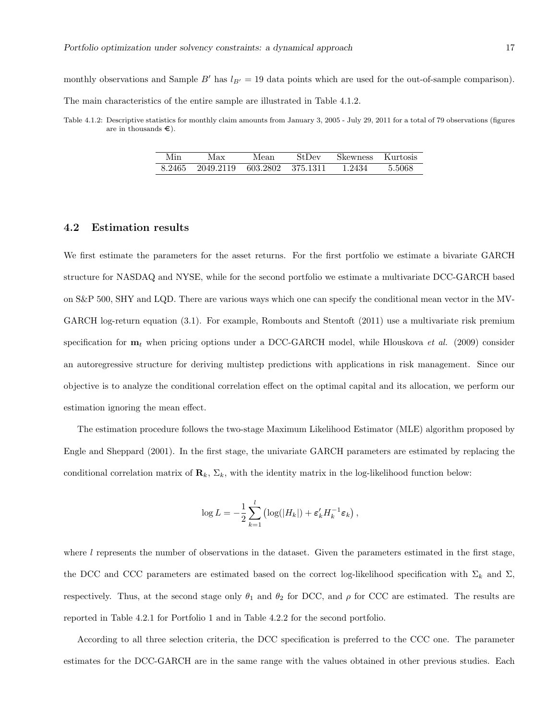monthly observations and Sample B' has  $l_{B'} = 19$  data points which are used for the out-of-sample comparison). The main characteristics of the entire sample are illustrated in Table 4.1.2.

Table 4.1.2: Descriptive statistics for monthly claim amounts from January 3, 2005 - July 29, 2011 for a total of 79 observations (figures are in thousands  $\epsilon$ ).

| Min    | Max       | Mean              | StDev | <b>Skewness</b> | Kurtosis |
|--------|-----------|-------------------|-------|-----------------|----------|
| 8.2465 | 2049.2119 | 603.2802 375.1311 |       | 1.2434          | 5.5068   |

#### 4.2 Estimation results

We first estimate the parameters for the asset returns. For the first portfolio we estimate a bivariate GARCH structure for NASDAQ and NYSE, while for the second portfolio we estimate a multivariate DCC-GARCH based on S&P 500, SHY and LQD. There are various ways which one can specify the conditional mean vector in the MV-GARCH log-return equation (3.1). For example, Rombouts and Stentoft (2011) use a multivariate risk premium specification for  $\mathbf{m}_t$  when pricing options under a DCC-GARCH model, while Hlouskova *et al.* (2009) consider an autoregressive structure for deriving multistep predictions with applications in risk management. Since our objective is to analyze the conditional correlation effect on the optimal capital and its allocation, we perform our estimation ignoring the mean effect.

The estimation procedure follows the two-stage Maximum Likelihood Estimator (MLE) algorithm proposed by Engle and Sheppard (2001). In the first stage, the univariate GARCH parameters are estimated by replacing the conditional correlation matrix of  $\mathbf{R}_k$ ,  $\Sigma_k$ , with the identity matrix in the log-likelihood function below:

$$
\log L = -\frac{1}{2} \sum_{k=1}^{l} \left( \log(|H_k|) + \varepsilon'_k H_k^{-1} \varepsilon_k \right),\,
$$

where  $l$  represents the number of observations in the dataset. Given the parameters estimated in the first stage, the DCC and CCC parameters are estimated based on the correct log-likelihood specification with  $\Sigma_k$  and  $\Sigma$ , respectively. Thus, at the second stage only  $\theta_1$  and  $\theta_2$  for DCC, and  $\rho$  for CCC are estimated. The results are reported in Table 4.2.1 for Portfolio 1 and in Table 4.2.2 for the second portfolio.

According to all three selection criteria, the DCC specification is preferred to the CCC one. The parameter estimates for the DCC-GARCH are in the same range with the values obtained in other previous studies. Each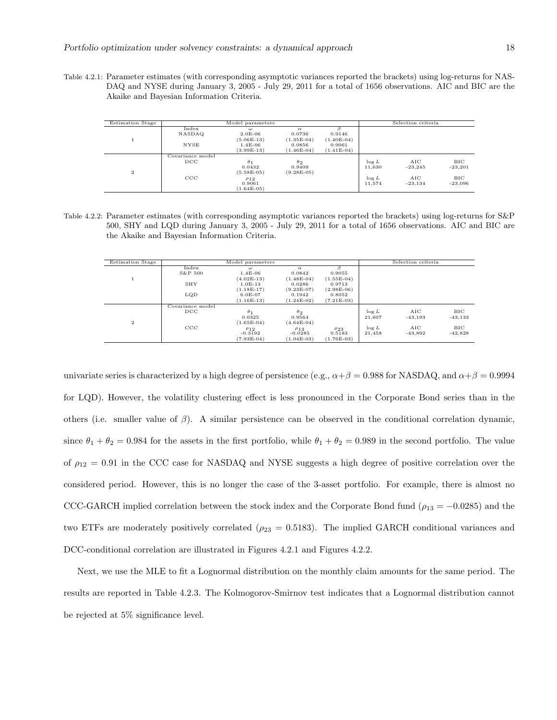Portfolio optimization under solvency constraints: a dynamical approach 18

Table 4.2.1: Parameter estimates (with corresponding asymptotic variances reported the brackets) using log-returns for NAS-DAQ and NYSE during January 3, 2005 - July 29, 2011 for a total of 1656 observations. AIC and BIC are the Akaike and Bayesian Information Criteria.

| <b>Estimation Stage</b> | Model parameters                    |                                                    |                                      |                        |                    | Selection criteria |                  |
|-------------------------|-------------------------------------|----------------------------------------------------|--------------------------------------|------------------------|--------------------|--------------------|------------------|
|                         | Index<br>NASDAQ<br><b>NYSE</b>      | $\omega$<br>$2.0E-06$<br>$(5.06E-13)$<br>$1.4E-06$ | $\alpha$<br>0.0736<br>$(1.35E-04)$   | 0.9146<br>$(1.40E-04)$ |                    |                    |                  |
|                         |                                     | $(3.99E-13)$                                       | 0.0856<br>$(1.46E-04)$               | 0.9061<br>$(1.41E-04)$ |                    |                    |                  |
| $\overline{2}$          | Covariance model<br>$_{\text{DCC}}$ | $\theta_1$<br>0.0432<br>$(5.58E-05)$               | $\theta_2$<br>0.9409<br>$(9.28E-05)$ |                        | $\log L$<br>11,630 | AIC<br>$-23.245$   | BIC<br>$-23,201$ |
|                         | $_{\rm CCC}$                        | P12<br>0.9061<br>$(1.64E-05)$                      |                                      |                        | $\log L$<br>11.574 | AIC<br>$-23.134$   | BIC<br>$-23,096$ |

Table 4.2.2: Parameter estimates (with corresponding asymptotic variances reported the brackets) using log-returns for S&P 500, SHY and LQD during January 3, 2005 - July 29, 2011 for a total of 1656 observations. AIC and BIC are the Akaike and Bayesian Information Criteria.

| <b>Estimation Stage</b> | Model parameters |              |              |              |          | Selection criteria |           |
|-------------------------|------------------|--------------|--------------|--------------|----------|--------------------|-----------|
|                         | Index            | $\omega$     | $\alpha$     | ß            |          |                    |           |
|                         | $S\&P 500$       | $1.4E-06$    | 0.0842       | 0.9055       |          |                    |           |
| Τ.                      |                  | $(4.02E-13)$ | $(1.48E-04)$ | $(1.55E-04)$ |          |                    |           |
|                         | SHY              | $1.0E-13$    | 0.0286       | 0.9713       |          |                    |           |
|                         |                  | $(1.18E-17)$ | $(9.23E-07)$ | $(2.98E-06)$ |          |                    |           |
|                         | LQD              | $6.0E-07$    | 0.1942       | 0.8052       |          |                    |           |
|                         |                  | $(1.16E-13)$ | $(1.24E-02)$ | $(7.21E-03)$ |          |                    |           |
|                         | Covariance model |              |              |              |          |                    |           |
|                         | $_{\text{DCC}}$  | $\theta_1$   | $\theta_2$   |              | $\log L$ | AIC                | BIC       |
|                         |                  | 0.0325       | 0.9564       |              | 21.607   | $-43,193$          | $-43,133$ |
| $\overline{2}$          |                  | $(1.65E-04)$ | $(4.64E-04)$ |              |          |                    |           |
|                         | CCC              | P12          | $\rho_{13}$  | $\rho_{23}$  | $\log L$ | AIC                | BIC       |
|                         |                  | $-0.3192$    | $-0.0285$    | 0.5183       | 21,458   | $-43,892$          | $-42,828$ |
|                         |                  | $(7.93E-04)$ | $(1.04E-03)$ | $(1.76E-03)$ |          |                    |           |

univariate series is characterized by a high degree of persistence (e.g.,  $\alpha + \beta = 0.988$  for NASDAQ, and  $\alpha + \beta = 0.9994$ for LQD). However, the volatility clustering effect is less pronounced in the Corporate Bond series than in the others (i.e. smaller value of  $\beta$ ). A similar persistence can be observed in the conditional correlation dynamic, since  $\theta_1 + \theta_2 = 0.984$  for the assets in the first portfolio, while  $\theta_1 + \theta_2 = 0.989$  in the second portfolio. The value of  $\rho_{12} = 0.91$  in the CCC case for NASDAQ and NYSE suggests a high degree of positive correlation over the considered period. However, this is no longer the case of the 3-asset portfolio. For example, there is almost no CCC-GARCH implied correlation between the stock index and the Corporate Bond fund ( $\rho_{13} = -0.0285$ ) and the two ETFs are moderately positively correlated ( $\rho_{23} = 0.5183$ ). The implied GARCH conditional variances and DCC-conditional correlation are illustrated in Figures 4.2.1 and Figures 4.2.2.

Next, we use the MLE to fit a Lognormal distribution on the monthly claim amounts for the same period. The results are reported in Table 4.2.3. The Kolmogorov-Smirnov test indicates that a Lognormal distribution cannot be rejected at 5% significance level.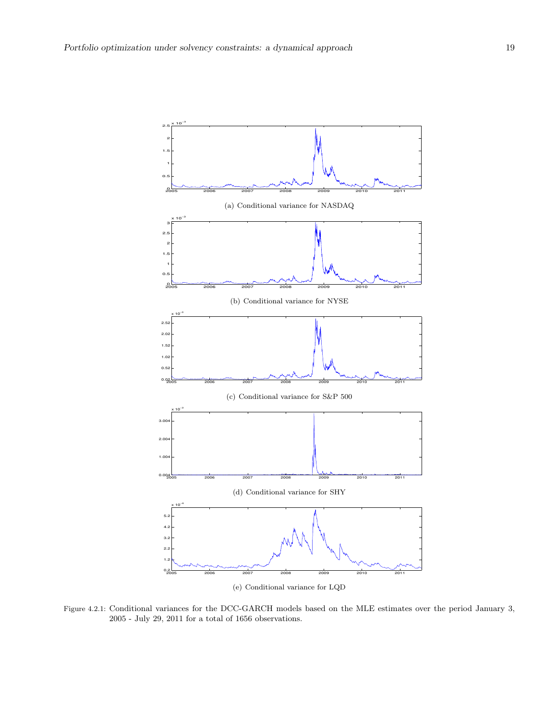

(e) Conditional variance for LQD

Figure 4.2.1: Conditional variances for the DCC-GARCH models based on the MLE estimates over the period January 3, 2005 - July 29, 2011 for a total of 1656 observations.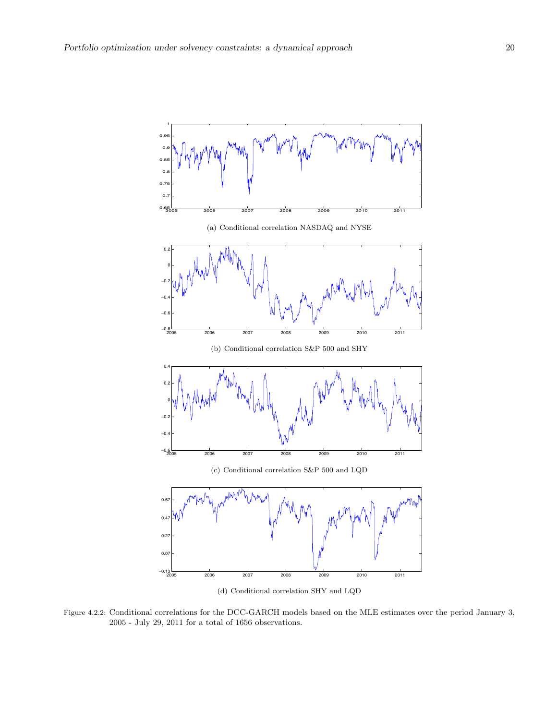

(d) Conditional correlation SHY and LQD

Figure 4.2.2: Conditional correlations for the DCC-GARCH models based on the MLE estimates over the period January 3, 2005 - July 29, 2011 for a total of 1656 observations.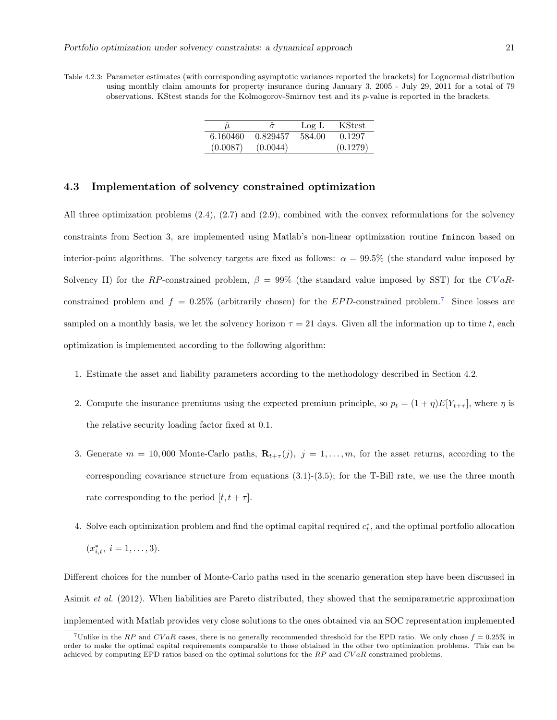Table 4.2.3: Parameter estimates (with corresponding asymptotic variances reported the brackets) for Lognormal distribution using monthly claim amounts for property insurance during January 3, 2005 - July 29, 2011 for a total of 79 observations. KStest stands for the Kolmogorov-Smirnov test and its p-value is reported in the brackets.

|          | $\sigma$ | Log L  | KStest   |
|----------|----------|--------|----------|
| 6.160460 | 0.829457 | 584.00 | 0.1297   |
| (0.0087) | (0.0044) |        | (0.1279) |

#### 4.3 Implementation of solvency constrained optimization

All three optimization problems (2.4), (2.7) and (2.9), combined with the convex reformulations for the solvency constraints from Section 3, are implemented using Matlab's non-linear optimization routine fmincon based on interior-point algorithms. The solvency targets are fixed as follows:  $\alpha = 99.5\%$  (the standard value imposed by Solvency II) for the RP-constrained problem,  $\beta = 99\%$  (the standard value imposed by SST) for the CVaRconstrained problem and  $f = 0.25\%$  (arbitrarily chosen) for the EPD-constrained problem.<sup>7</sup> Since losses are sampled on a monthly basis, we let the solvency horizon  $\tau = 21$  days. Given all the information up to time t, each optimization is implemented according to the following algorithm:

- 1. Estimate the asset and liability parameters according to the methodology described in Section 4.2.
- 2. Compute the insurance premiums using the expected premium principle, so  $p_t = (1 + \eta)E[Y_{t+\tau}]$ , where  $\eta$  is the relative security loading factor fixed at 0.1.
- 3. Generate  $m = 10,000$  Monte-Carlo paths,  $\mathbf{R}_{t+\tau}(j)$ ,  $j = 1,\ldots,m$ , for the asset returns, according to the corresponding covariance structure from equations  $(3.1)-(3.5)$ ; for the T-Bill rate, we use the three month rate corresponding to the period  $[t, t + \tau]$ .
- 4. Solve each optimization problem and find the optimal capital required  $c_t^*$ , and the optimal portfolio allocation  $(x_{i,t}^*, i = 1, \ldots, 3).$

Different choices for the number of Monte-Carlo paths used in the scenario generation step have been discussed in Asimit et al. (2012). When liabilities are Pareto distributed, they showed that the semiparametric approximation implemented with Matlab provides very close solutions to the ones obtained via an SOC representation implemented

<sup>&</sup>lt;sup>7</sup>Unlike in the RP and  $CVaR$  cases, there is no generally recommended threshold for the EPD ratio. We only chose  $f = 0.25\%$  in order to make the optimal capital requirements comparable to those obtained in the other two optimization problems. This can be achieved by computing EPD ratios based on the optimal solutions for the  $RP$  and  $CVaR$  constrained problems.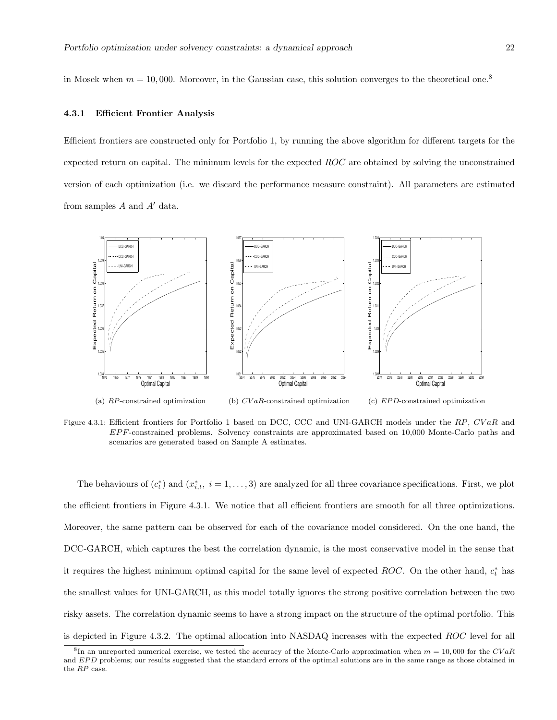in Mosek when  $m = 10,000$ . Moreover, in the Gaussian case, this solution converges to the theoretical one.<sup>8</sup>

#### 4.3.1 Efficient Frontier Analysis

Efficient frontiers are constructed only for Portfolio 1, by running the above algorithm for different targets for the expected return on capital. The minimum levels for the expected ROC are obtained by solving the unconstrained version of each optimization (i.e. we discard the performance measure constraint). All parameters are estimated from samples  $A$  and  $A'$  data.



(a) RP-constrained optimization (b) CV aR-constrained optimization  $(c)$  *EPD*-constrained optimization

Figure 4.3.1: Efficient frontiers for Portfolio 1 based on DCC, CCC and UNI-GARCH models under the RP, CVaR and EP F-constrained problems. Solvency constraints are approximated based on 10,000 Monte-Carlo paths and scenarios are generated based on Sample A estimates.

The behaviours of  $(c_t^*)$  and  $(x_{i,t}^*, i = 1, \ldots, 3)$  are analyzed for all three covariance specifications. First, we plot the efficient frontiers in Figure 4.3.1. We notice that all efficient frontiers are smooth for all three optimizations. Moreover, the same pattern can be observed for each of the covariance model considered. On the one hand, the DCC-GARCH, which captures the best the correlation dynamic, is the most conservative model in the sense that it requires the highest minimum optimal capital for the same level of expected ROC. On the other hand,  $c_t^*$  has the smallest values for UNI-GARCH, as this model totally ignores the strong positive correlation between the two risky assets. The correlation dynamic seems to have a strong impact on the structure of the optimal portfolio. This is depicted in Figure 4.3.2. The optimal allocation into NASDAQ increases with the expected ROC level for all

<sup>&</sup>lt;sup>8</sup>In an unreported numerical exercise, we tested the accuracy of the Monte-Carlo approximation when  $m = 10,000$  for the  $CVaR$ and EPD problems; our results suggested that the standard errors of the optimal solutions are in the same range as those obtained in the RP case.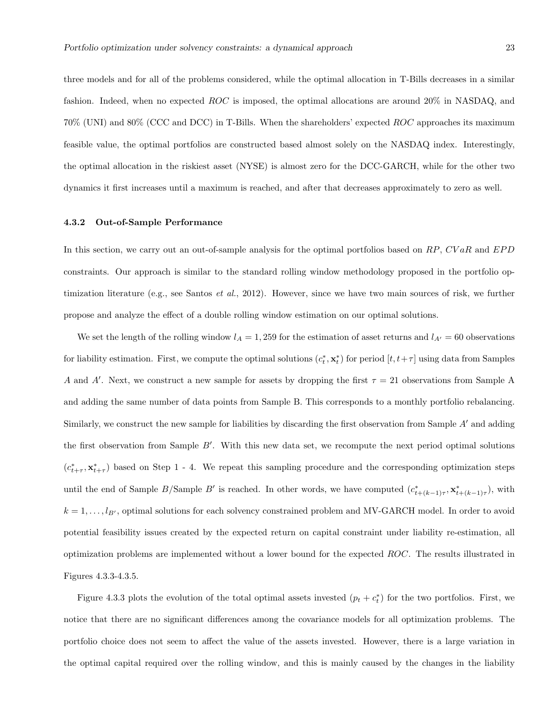three models and for all of the problems considered, while the optimal allocation in T-Bills decreases in a similar fashion. Indeed, when no expected ROC is imposed, the optimal allocations are around 20% in NASDAQ, and 70% (UNI) and 80% (CCC and DCC) in T-Bills. When the shareholders' expected ROC approaches its maximum feasible value, the optimal portfolios are constructed based almost solely on the NASDAQ index. Interestingly, the optimal allocation in the riskiest asset (NYSE) is almost zero for the DCC-GARCH, while for the other two dynamics it first increases until a maximum is reached, and after that decreases approximately to zero as well.

#### 4.3.2 Out-of-Sample Performance

In this section, we carry out an out-of-sample analysis for the optimal portfolios based on  $RP$ ,  $CVaR$  and  $EPD$ constraints. Our approach is similar to the standard rolling window methodology proposed in the portfolio optimization literature (e.g., see Santos *et al.*, 2012). However, since we have two main sources of risk, we further propose and analyze the effect of a double rolling window estimation on our optimal solutions.

We set the length of the rolling window  $l_A = 1,259$  for the estimation of asset returns and  $l_{A'} = 60$  observations for liability estimation. First, we compute the optimal solutions  $(c_t^*, \mathbf{x}_t^*)$  for period  $[t, t + \tau]$  using data from Samples A and A'. Next, we construct a new sample for assets by dropping the first  $\tau = 21$  observations from Sample A and adding the same number of data points from Sample B. This corresponds to a monthly portfolio rebalancing. Similarly, we construct the new sample for liabilities by discarding the first observation from Sample  $A'$  and adding the first observation from Sample  $B'$ . With this new data set, we recompute the next period optimal solutions  $(c_{t+\tau}^*, \mathbf{x}_{t+\tau}^*)$  based on Step 1 - 4. We repeat this sampling procedure and the corresponding optimization steps until the end of Sample B/Sample B' is reached. In other words, we have computed  $(c^*_{t+(k-1)\tau}, \mathbf{x}^*_{t+(k-1)\tau})$ , with  $k = 1, \ldots, l_{B'}$ , optimal solutions for each solvency constrained problem and MV-GARCH model. In order to avoid potential feasibility issues created by the expected return on capital constraint under liability re-estimation, all optimization problems are implemented without a lower bound for the expected ROC. The results illustrated in Figures 4.3.3-4.3.5.

Figure 4.3.3 plots the evolution of the total optimal assets invested  $(p_t + c_t^*)$  for the two portfolios. First, we notice that there are no significant differences among the covariance models for all optimization problems. The portfolio choice does not seem to affect the value of the assets invested. However, there is a large variation in the optimal capital required over the rolling window, and this is mainly caused by the changes in the liability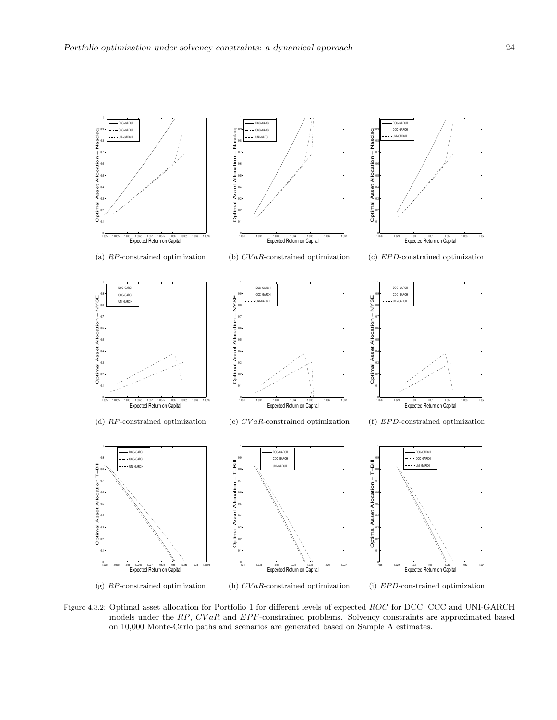

Figure 4.3.2: Optimal asset allocation for Portfolio 1 for different levels of expected ROC for DCC, CCC and UNI-GARCH models under the  $RP$ ,  $CVaR$  and  $EPF$ -constrained problems. Solvency constraints are approximated based on 10,000 Monte-Carlo paths and scenarios are generated based on Sample A estimates.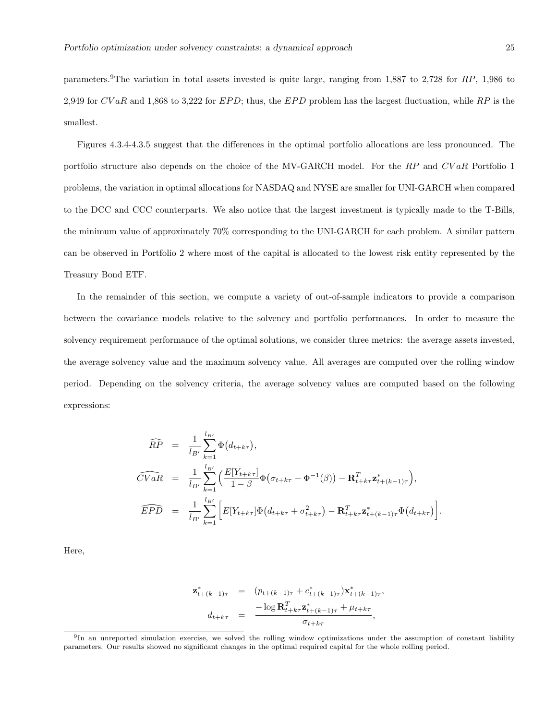parameters.9The variation in total assets invested is quite large, ranging from 1,887 to 2,728 for RP, 1,986 to 2,949 for  $CVaR$  and 1,868 to 3,222 for  $EPD$ ; thus, the  $EPD$  problem has the largest fluctuation, while RP is the smallest.

Figures 4.3.4-4.3.5 suggest that the differences in the optimal portfolio allocations are less pronounced. The portfolio structure also depends on the choice of the MV-GARCH model. For the RP and CVaR Portfolio 1 problems, the variation in optimal allocations for NASDAQ and NYSE are smaller for UNI-GARCH when compared to the DCC and CCC counterparts. We also notice that the largest investment is typically made to the T-Bills, the minimum value of approximately 70% corresponding to the UNI-GARCH for each problem. A similar pattern can be observed in Portfolio 2 where most of the capital is allocated to the lowest risk entity represented by the Treasury Bond ETF.

In the remainder of this section, we compute a variety of out-of-sample indicators to provide a comparison between the covariance models relative to the solvency and portfolio performances. In order to measure the solvency requirement performance of the optimal solutions, we consider three metrics: the average assets invested, the average solvency value and the maximum solvency value. All averages are computed over the rolling window period. Depending on the solvency criteria, the average solvency values are computed based on the following expressions:

$$
\widehat{RP} = \frac{1}{l_{B'}} \sum_{k=1}^{l_{B'}} \Phi(d_{t+k\tau}),
$$
\n
$$
\widehat{CVaR} = \frac{1}{l_{B'}} \sum_{k=1}^{l_{B'}} \left( \frac{E[Y_{t+k\tau}]}{1-\beta} \Phi(\sigma_{t+k\tau} - \Phi^{-1}(\beta)) - \mathbf{R}_{t+k\tau}^T \mathbf{z}_{t+(k-1)\tau}^* \right),
$$
\n
$$
\widehat{EPD} = \frac{1}{l_{B'}} \sum_{k=1}^{l_{B'}} \left[ E[Y_{t+k\tau}] \Phi(d_{t+k\tau} + \sigma_{t+k\tau}^2) - \mathbf{R}_{t+k\tau}^T \mathbf{z}_{t+(k-1)\tau}^* \Phi(d_{t+k\tau}) \right].
$$

Here,

$$
\mathbf{z}_{t+(k-1)\tau}^{*} = (p_{t+(k-1)\tau} + c_{t+(k-1)\tau}^{*})\mathbf{x}_{t+(k-1)\tau}^{*},
$$

$$
d_{t+k\tau} = \frac{-\log \mathbf{R}_{t+k\tau}^{T} \mathbf{z}_{t+(k-1)\tau}^{*} + \mu_{t+k\tau}}{\sigma_{t+k\tau}},
$$

<sup>&</sup>lt;sup>9</sup>In an unreported simulation exercise, we solved the rolling window optimizations under the assumption of constant liability parameters. Our results showed no significant changes in the optimal required capital for the whole rolling period.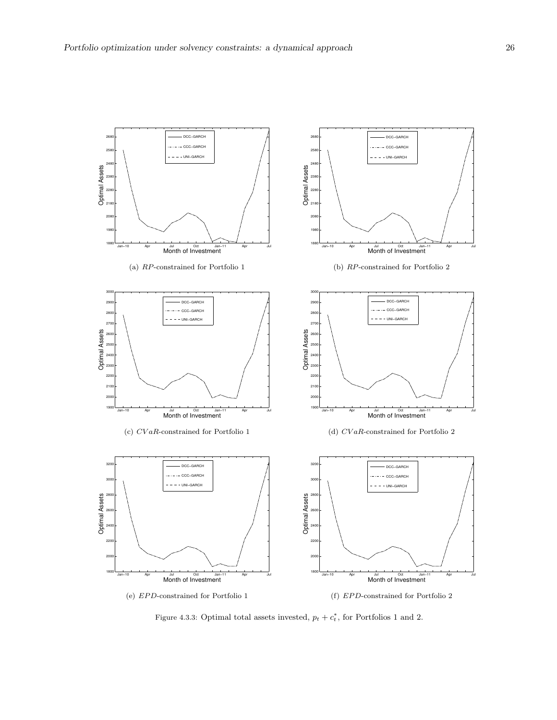

Figure 4.3.3: Optimal total assets invested,  $p_t + c_t^*$ , for Portfolios 1 and 2.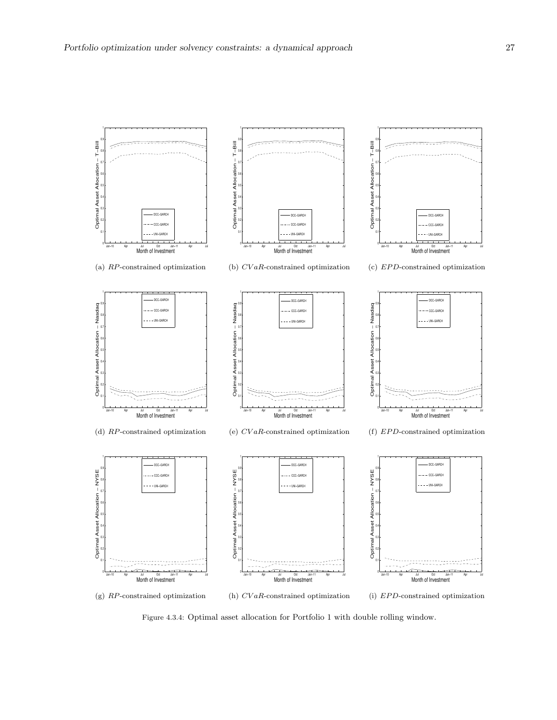

Figure 4.3.4: Optimal asset allocation for Portfolio 1 with double rolling window.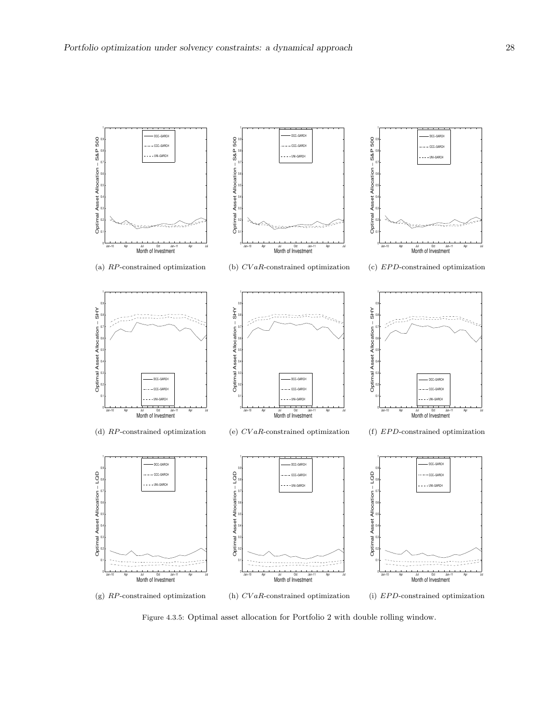

Figure 4.3.5: Optimal asset allocation for Portfolio 2 with double rolling window.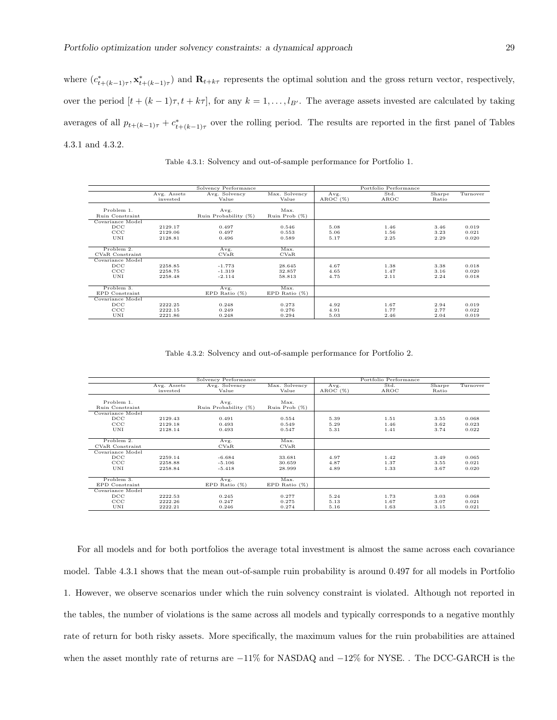where  $(c^*_{t+(k-1)\tau}, \mathbf{x}^*_{t+(k-1)\tau})$  and  $\mathbf{R}_{t+k\tau}$  represents the optimal solution and the gross return vector, respectively, over the period  $[t + (k-1)\tau, t + k\tau]$ , for any  $k = 1, \ldots, l_{B'}$ . The average assets invested are calculated by taking averages of all  $p_{t+(k-1)\tau} + c^*_{t+(k-1)\tau}$  over the rolling period. The results are reported in the first panel of Tables 4.3.1 and 4.3.2.

|                                                |                               | Solvency Performance             |                            |                      | Portfolio Performance |                      |                         |
|------------------------------------------------|-------------------------------|----------------------------------|----------------------------|----------------------|-----------------------|----------------------|-------------------------|
|                                                | Avg. Assets<br>invested       | Avg. Solvency<br>Value           | Max. Solvency<br>Value     | Avg.<br>AROC(%)      | Std.<br>AROC          | Sharpe<br>Ratio      | Turnover                |
| Problem 1.<br><b>Ruin Constraint</b>           |                               | Avg.<br>Ruin Probability (%)     | Max.<br>Ruin Prob (%)      |                      |                       |                      |                         |
| Covariance Model<br>DCC<br>$_{\rm CCC}$<br>UNI | 2129.17<br>2129.06<br>2128.81 | 0.497<br>0.497<br>0.496          | 0.546<br>0.553<br>0.589    | 5.08<br>5.06<br>5.17 | 1.46<br>1.56<br>2.25  | 3.46<br>3.23<br>2.29 | 0.019<br>0.021<br>0.020 |
| Problem 2.<br>CVaR Constraint                  |                               | Avg.<br>CVaR                     | Max.<br>CVaR               |                      |                       |                      |                         |
| Covariance Model<br>DCC<br>CCC<br>UNI          | 2258.85<br>2258.75<br>2258.48 | $-1.773$<br>$-1.319$<br>$-2.114$ | 28.645<br>32.857<br>58.813 | 4.67<br>4.65<br>4.75 | 1.38<br>1.47<br>2.11  | 3.38<br>3.16<br>2.24 | 0.018<br>0.020<br>0.018 |
| Problem 3.<br>EPD Constraint                   |                               | Avg.<br>EPD Ratio $(\%)$         | Max.<br>EPD Ratio $(\%)$   |                      |                       |                      |                         |
| Covariance Model<br>DCC<br>CCC<br>UNI          | 2222.25<br>2222.15<br>2221.86 | 0.248<br>0.249<br>0.248          | 0.273<br>0.276<br>0.294    | 4.92<br>4.91<br>5.03 | 1.67<br>1.77<br>2.46  | 2.94<br>2.77<br>2.04 | 0.019<br>0.022<br>0.019 |

Table 4.3.1: Solvency and out-of-sample performance for Portfolio 1.

Table 4.3.2: Solvency and out-of-sample performance for Portfolio 2.

|                  |             | Solvency Performance |                  |         | Portfolio Performance |        |          |
|------------------|-------------|----------------------|------------------|---------|-----------------------|--------|----------|
|                  | Avg. Assets | Avg. Solvency        | Max. Solvency    | Avg.    | Std.                  | Sharpe | Turnover |
|                  | invested    | Value                | Value            | AROC(%) | AROC                  | Ratio  |          |
|                  |             |                      |                  |         |                       |        |          |
| Problem 1.       |             | Avg.                 | Max.             |         |                       |        |          |
| Ruin Constraint  |             | Ruin Probability (%) | Ruin Prob $(\%)$ |         |                       |        |          |
| Covariance Model |             |                      |                  |         |                       |        |          |
| DCC              | 2129.43     | 0.491                | 0.554            | 5.39    | 1.51                  | 3.55   | 0.068    |
| CCC              | 2129.18     | 0.493                | 0.549            | 5.29    | 1.46                  | 3.62   | 0.023    |
| UNI              | 2128.14     | 0.493                | 0.547            | 5.31    | 1.41                  | 3.74   | 0.022    |
|                  |             |                      |                  |         |                       |        |          |
| Problem 2.       |             | Avg.                 | Max.             |         |                       |        |          |
| CVaR Constraint  |             | CVaR                 | CVaR             |         |                       |        |          |
| Covariance Model |             |                      |                  |         |                       |        |          |
| DCC              | 2259.14     | $-6.684$             | 33.681           | 4.97    | 1.42                  | 3.49   | 0.065    |
| CCC              | 2258.88     | $-5.106$             | 30.659           | 4.87    | 1.37                  | 3.55   | 0.021    |
| UNI              | 2258.84     | $-5.418$             | 28.999           | 4.89    | 1.33                  | 3.67   | 0.020    |
|                  |             |                      |                  |         |                       |        |          |
| Problem 3.       |             | Avg.                 | Max.             |         |                       |        |          |
| EPD Constraint   |             | EPD Ratio $(\%)$     | EPD Ratio $(\%)$ |         |                       |        |          |
| Covariance Model |             |                      |                  |         |                       |        |          |
| $_{\text{DCC}}$  | 2222.53     | 0.245                | 0.277            | 5.24    | 1.73                  | 3.03   | 0.068    |
| $_{\rm CCC}$     | 2222.26     | 0.247                | 0.275            | 5.13    | 1.67                  | 3.07   | 0.021    |
| UNI              | 2222.21     | 0.246                | 0.274            | 5.16    | 1.63                  | 3.15   | 0.021    |

For all models and for both portfolios the average total investment is almost the same across each covariance model. Table 4.3.1 shows that the mean out-of-sample ruin probability is around 0.497 for all models in Portfolio 1. However, we observe scenarios under which the ruin solvency constraint is violated. Although not reported in the tables, the number of violations is the same across all models and typically corresponds to a negative monthly rate of return for both risky assets. More specifically, the maximum values for the ruin probabilities are attained when the asset monthly rate of returns are −11% for NASDAQ and −12% for NYSE. . The DCC-GARCH is the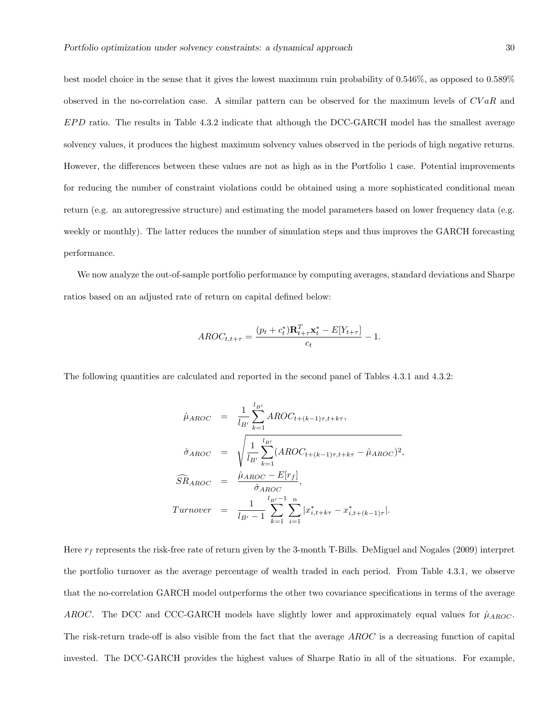best model choice in the sense that it gives the lowest maximum ruin probability of 0.546%, as opposed to 0.589% observed in the no-correlation case. A similar pattern can be observed for the maximum levels of  $CVaR$  and  $EPD$  ratio. The results in Table 4.3.2 indicate that although the DCC-GARCH model has the smallest average solvency values, it produces the highest maximum solvency values observed in the periods of high negative returns. However, the differences between these values are not as high as in the Portfolio 1 case. Potential improvements for reducing the number of constraint violations could be obtained using a more sophisticated conditional mean return (e.g. an autoregressive structure) and estimating the model parameters based on lower frequency data (e.g. weekly or monthly). The latter reduces the number of simulation steps and thus improves the GARCH forecasting performance.

We now analyze the out-of-sample portfolio performance by computing averages, standard deviations and Sharpe ratios based on an adjusted rate of return on capital defined below:

$$
AROC_{t,t+\tau} = \frac{(p_t + c_t^*)\mathbf{R}_{t+\tau}^T \mathbf{x}_t^* - E[Y_{t+\tau}]}{c_t} - 1.
$$

The following quantities are calculated and reported in the second panel of Tables 4.3.1 and 4.3.2:

$$
\hat{\mu}_{AROC} = \frac{1}{l_{B'}} \sum_{k=1}^{l_{B'}} AROC_{t+(k-1)\tau, t+k\tau},
$$
\n
$$
\hat{\sigma}_{AROC} = \sqrt{\frac{1}{l_{B'}} \sum_{k=1}^{l_{B'}} (AROC_{t+(k-1)\tau, t+k\tau} - \hat{\mu}_{AROC})^2},
$$
\n
$$
\widehat{SR}_{AROC} = \frac{\hat{\mu}_{AROC} - E[r_f]}{\hat{\sigma}_{AROC}},
$$
\n
$$
Turnover = \frac{1}{l_{B'} - 1} \sum_{k=1}^{l_{B'} - 1} \sum_{i=1}^{n} |x_{i,t+k\tau}^* - x_{i,t+(k-1)\tau}^*|.
$$

Here  $r_f$  represents the risk-free rate of return given by the 3-month T-Bills. DeMiguel and Nogales (2009) interpret the portfolio turnover as the average percentage of wealth traded in each period. From Table 4.3.1, we observe that the no-correlation GARCH model outperforms the other two covariance specifications in terms of the average AROC. The DCC and CCC-GARCH models have slightly lower and approximately equal values for  $\hat{\mu}_{AROC}$ . The risk-return trade-off is also visible from the fact that the average AROC is a decreasing function of capital invested. The DCC-GARCH provides the highest values of Sharpe Ratio in all of the situations. For example,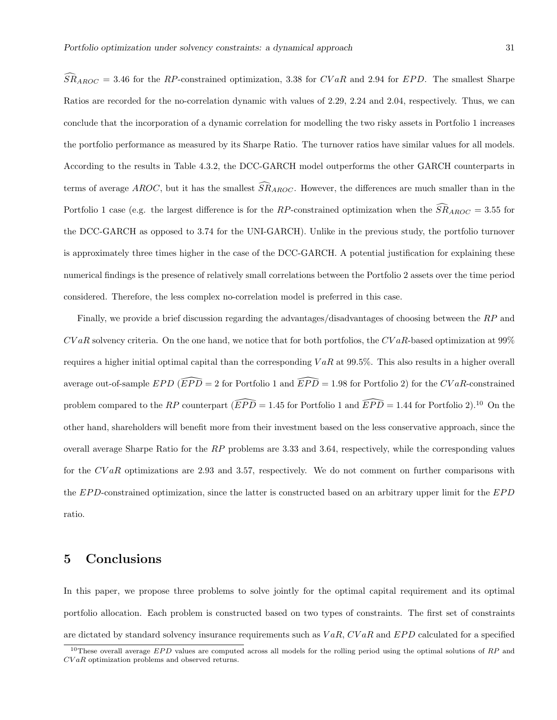$SR_{AROC} = 3.46$  for the RP-constrained optimization, 3.38 for CVaR and 2.94 for EPD. The smallest Sharpe Ratios are recorded for the no-correlation dynamic with values of 2.29, 2.24 and 2.04, respectively. Thus, we can conclude that the incorporation of a dynamic correlation for modelling the two risky assets in Portfolio 1 increases the portfolio performance as measured by its Sharpe Ratio. The turnover ratios have similar values for all models. According to the results in Table 4.3.2, the DCC-GARCH model outperforms the other GARCH counterparts in terms of average AROC, but it has the smallest  $\overline{SR}_{AROC}$ . However, the differences are much smaller than in the Portfolio 1 case (e.g. the largest difference is for the RP-constrained optimization when the  $\widehat{SR}_{AROC} = 3.55$  for the DCC-GARCH as opposed to 3.74 for the UNI-GARCH). Unlike in the previous study, the portfolio turnover is approximately three times higher in the case of the DCC-GARCH. A potential justification for explaining these numerical findings is the presence of relatively small correlations between the Portfolio 2 assets over the time period considered. Therefore, the less complex no-correlation model is preferred in this case.

Finally, we provide a brief discussion regarding the advantages/disadvantages of choosing between the RP and  $CVaR$  solvency criteria. On the one hand, we notice that for both portfolios, the  $CVaR$ -based optimization at 99% requires a higher initial optimal capital than the corresponding  $VaR$  at 99.5%. This also results in a higher overall average out-of-sample  $EPD$  ( $\widehat{EPD} = 2$  for Portfolio 1 and  $\widehat{EPD} = 1.98$  for Portfolio 2) for the CV aR-constrained problem compared to the RP counterpart ( $\widehat{EPD} = 1.45$  for Portfolio 1 and  $\widehat{EPD} = 1.44$  for Portfolio 2).<sup>10</sup> On the other hand, shareholders will benefit more from their investment based on the less conservative approach, since the overall average Sharpe Ratio for the  $RP$  problems are 3.33 and 3.64, respectively, while the corresponding values for the CVaR optimizations are 2.93 and 3.57, respectively. We do not comment on further comparisons with the EPD-constrained optimization, since the latter is constructed based on an arbitrary upper limit for the EPD ratio.

## 5 Conclusions

In this paper, we propose three problems to solve jointly for the optimal capital requirement and its optimal portfolio allocation. Each problem is constructed based on two types of constraints. The first set of constraints are dictated by standard solvency insurance requirements such as  $VaR$ ,  $CVaR$  and  $EPD$  calculated for a specified

 $10$ These overall average  $EPD$  values are computed across all models for the rolling period using the optimal solutions of  $RP$  and CV aR optimization problems and observed returns.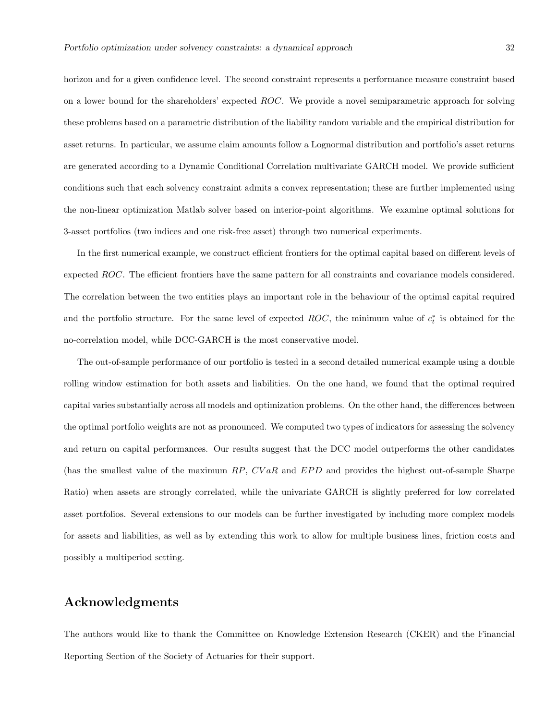horizon and for a given confidence level. The second constraint represents a performance measure constraint based on a lower bound for the shareholders' expected ROC. We provide a novel semiparametric approach for solving these problems based on a parametric distribution of the liability random variable and the empirical distribution for asset returns. In particular, we assume claim amounts follow a Lognormal distribution and portfolio's asset returns are generated according to a Dynamic Conditional Correlation multivariate GARCH model. We provide sufficient conditions such that each solvency constraint admits a convex representation; these are further implemented using the non-linear optimization Matlab solver based on interior-point algorithms. We examine optimal solutions for 3-asset portfolios (two indices and one risk-free asset) through two numerical experiments.

In the first numerical example, we construct efficient frontiers for the optimal capital based on different levels of expected ROC. The efficient frontiers have the same pattern for all constraints and covariance models considered. The correlation between the two entities plays an important role in the behaviour of the optimal capital required and the portfolio structure. For the same level of expected ROC, the minimum value of  $c_t^*$  is obtained for the no-correlation model, while DCC-GARCH is the most conservative model.

The out-of-sample performance of our portfolio is tested in a second detailed numerical example using a double rolling window estimation for both assets and liabilities. On the one hand, we found that the optimal required capital varies substantially across all models and optimization problems. On the other hand, the differences between the optimal portfolio weights are not as pronounced. We computed two types of indicators for assessing the solvency and return on capital performances. Our results suggest that the DCC model outperforms the other candidates (has the smallest value of the maximum  $RP$ ,  $CVaR$  and  $EPD$  and provides the highest out-of-sample Sharpe Ratio) when assets are strongly correlated, while the univariate GARCH is slightly preferred for low correlated asset portfolios. Several extensions to our models can be further investigated by including more complex models for assets and liabilities, as well as by extending this work to allow for multiple business lines, friction costs and possibly a multiperiod setting.

## Acknowledgments

The authors would like to thank the Committee on Knowledge Extension Research (CKER) and the Financial Reporting Section of the Society of Actuaries for their support.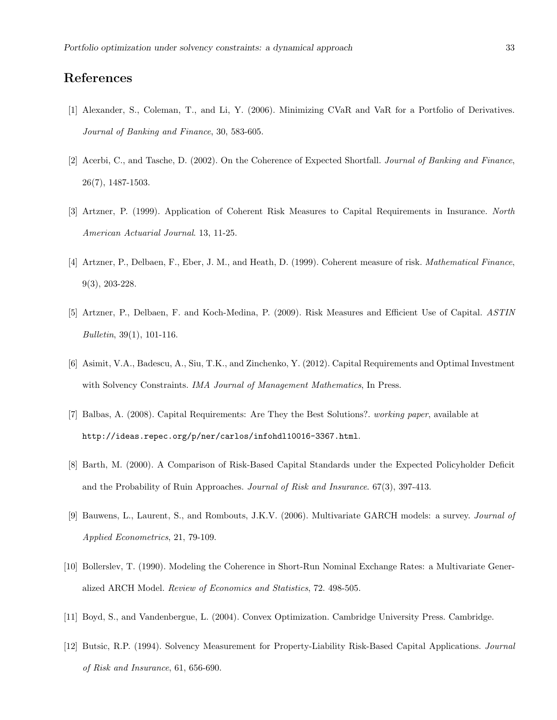## References

- [1] Alexander, S., Coleman, T., and Li, Y. (2006). Minimizing CVaR and VaR for a Portfolio of Derivatives. Journal of Banking and Finance, 30, 583-605.
- [2] Acerbi, C., and Tasche, D. (2002). On the Coherence of Expected Shortfall. Journal of Banking and Finance, 26(7), 1487-1503.
- [3] Artzner, P. (1999). Application of Coherent Risk Measures to Capital Requirements in Insurance. North American Actuarial Journal. 13, 11-25.
- [4] Artzner, P., Delbaen, F., Eber, J. M., and Heath, D. (1999). Coherent measure of risk. Mathematical Finance, 9(3), 203-228.
- [5] Artzner, P., Delbaen, F. and Koch-Medina, P. (2009). Risk Measures and Efficient Use of Capital. ASTIN Bulletin, 39(1), 101-116.
- [6] Asimit, V.A., Badescu, A., Siu, T.K., and Zinchenko, Y. (2012). Capital Requirements and Optimal Investment with Solvency Constraints. IMA Journal of Management Mathematics, In Press.
- [7] Balbas, A. (2008). Capital Requirements: Are They the Best Solutions?. working paper, available at http://ideas.repec.org/p/ner/carlos/infohdl10016-3367.html.
- [8] Barth, M. (2000). A Comparison of Risk-Based Capital Standards under the Expected Policyholder Deficit and the Probability of Ruin Approaches. Journal of Risk and Insurance. 67(3), 397-413.
- [9] Bauwens, L., Laurent, S., and Rombouts, J.K.V. (2006). Multivariate GARCH models: a survey. Journal of Applied Econometrics, 21, 79-109.
- [10] Bollerslev, T. (1990). Modeling the Coherence in Short-Run Nominal Exchange Rates: a Multivariate Generalized ARCH Model. Review of Economics and Statistics, 72. 498-505.
- [11] Boyd, S., and Vandenbergue, L. (2004). Convex Optimization. Cambridge University Press. Cambridge.
- [12] Butsic, R.P. (1994). Solvency Measurement for Property-Liability Risk-Based Capital Applications. Journal of Risk and Insurance, 61, 656-690.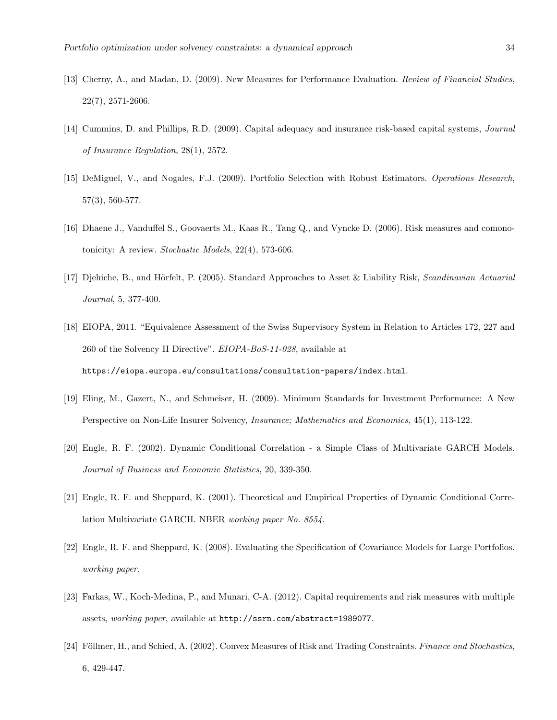- [13] Cherny, A., and Madan, D. (2009). New Measures for Performance Evaluation. Review of Financial Studies, 22(7), 2571-2606.
- [14] Cummins, D. and Phillips, R.D. (2009). Capital adequacy and insurance risk-based capital systems, Journal of Insurance Regulation, 28(1), 2572.
- [15] DeMiguel, V., and Nogales, F.J. (2009). Portfolio Selection with Robust Estimators. Operations Research, 57(3), 560-577.
- [16] Dhaene J., Vanduffel S., Goovaerts M., Kaas R., Tang Q., and Vyncke D. (2006). Risk measures and comonotonicity: A review. Stochastic Models, 22(4), 573-606.
- [17] Djehiche, B., and Hörfelt, P. (2005). Standard Approaches to Asset & Liability Risk, Scandinavian Actuarial Journal, 5, 377-400.
- [18] EIOPA, 2011. "Equivalence Assessment of the Swiss Supervisory System in Relation to Articles 172, 227 and 260 of the Solvency II Directive". EIOPA-BoS-11-028, available at https://eiopa.europa.eu/consultations/consultation-papers/index.html.
- [19] Eling, M., Gazert, N., and Schmeiser, H. (2009). Minimum Standards for Investment Performance: A New Perspective on Non-Life Insurer Solvency, *Insurance; Mathematics and Economics*, 45(1), 113-122.
- [20] Engle, R. F. (2002). Dynamic Conditional Correlation a Simple Class of Multivariate GARCH Models. Journal of Business and Economic Statistics, 20, 339-350.
- [21] Engle, R. F. and Sheppard, K. (2001). Theoretical and Empirical Properties of Dynamic Conditional Correlation Multivariate GARCH. NBER working paper No. 8554.
- [22] Engle, R. F. and Sheppard, K. (2008). Evaluating the Specification of Covariance Models for Large Portfolios. working paper.
- [23] Farkas, W., Koch-Medina, P., and Munari, C-A. (2012). Capital requirements and risk measures with multiple assets, working paper, available at http://ssrn.com/abstract=1989077.
- [24] Föllmer, H., and Schied, A. (2002). Convex Measures of Risk and Trading Constraints. Finance and Stochastics, 6, 429-447.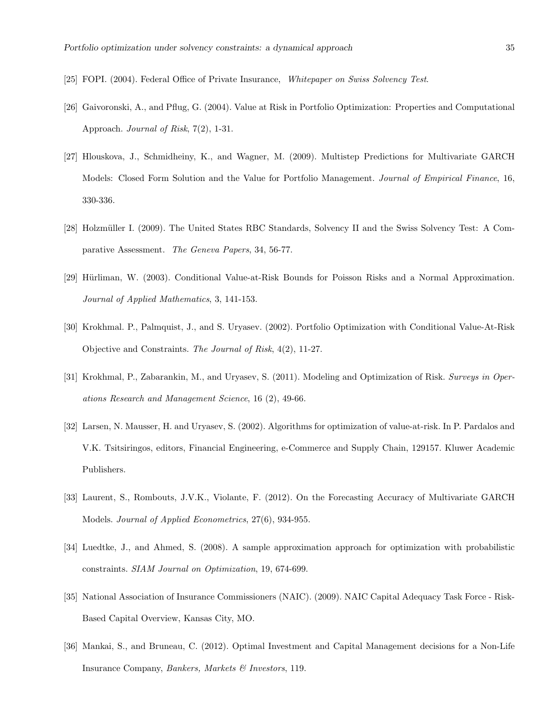- [25] FOPI. (2004). Federal Office of Private Insurance, Whitepaper on Swiss Solvency Test.
- [26] Gaivoronski, A., and Pflug, G. (2004). Value at Risk in Portfolio Optimization: Properties and Computational Approach. Journal of Risk, 7(2), 1-31.
- [27] Hlouskova, J., Schmidheiny, K., and Wagner, M. (2009). Multistep Predictions for Multivariate GARCH Models: Closed Form Solution and the Value for Portfolio Management. Journal of Empirical Finance, 16, 330-336.
- [28] Holzmüller I. (2009). The United States RBC Standards, Solvency II and the Swiss Solvency Test: A Comparative Assessment. The Geneva Papers, 34, 56-77.
- [29] Hürliman, W. (2003). Conditional Value-at-Risk Bounds for Poisson Risks and a Normal Approximation. Journal of Applied Mathematics, 3, 141-153.
- [30] Krokhmal. P., Palmquist, J., and S. Uryasev. (2002). Portfolio Optimization with Conditional Value-At-Risk Objective and Constraints. The Journal of Risk, 4(2), 11-27.
- [31] Krokhmal, P., Zabarankin, M., and Uryasev, S. (2011). Modeling and Optimization of Risk. Surveys in Operations Research and Management Science, 16 (2), 49-66.
- [32] Larsen, N. Mausser, H. and Uryasev, S. (2002). Algorithms for optimization of value-at-risk. In P. Pardalos and V.K. Tsitsiringos, editors, Financial Engineering, e-Commerce and Supply Chain, 129157. Kluwer Academic Publishers.
- [33] Laurent, S., Rombouts, J.V.K., Violante, F. (2012). On the Forecasting Accuracy of Multivariate GARCH Models. Journal of Applied Econometrics, 27(6), 934-955.
- [34] Luedtke, J., and Ahmed, S. (2008). A sample approximation approach for optimization with probabilistic constraints. SIAM Journal on Optimization, 19, 674-699.
- [35] National Association of Insurance Commissioners (NAIC). (2009). NAIC Capital Adequacy Task Force Risk-Based Capital Overview, Kansas City, MO.
- [36] Mankai, S., and Bruneau, C. (2012). Optimal Investment and Capital Management decisions for a Non-Life Insurance Company, Bankers, Markets & Investors, 119.